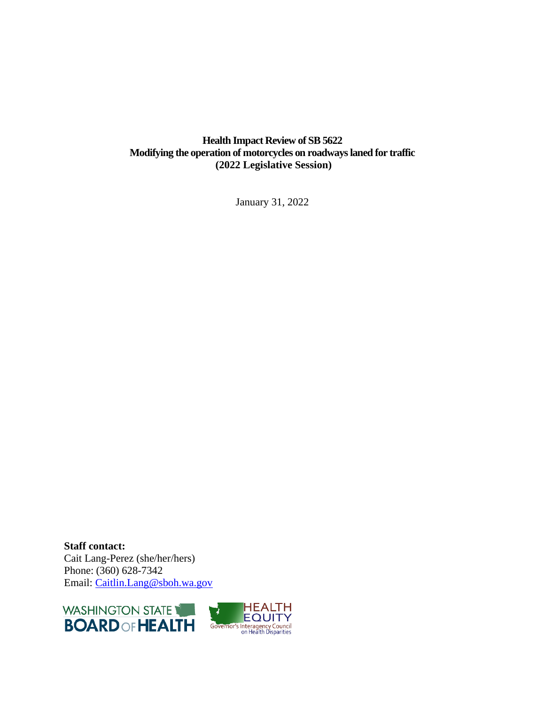## **Health Impact Review of SB 5622 Modifying the operation of motorcycles on roadways laned for traffic (2022 Legislative Session)**

January 31, 2022

**Staff contact:** Cait Lang-Perez (she/her/hers) Phone: (360) 628-7342 Email: [Caitlin.Lang@sboh.wa.gov](mailto:Caitlin.Lang@sboh.wa.gov)

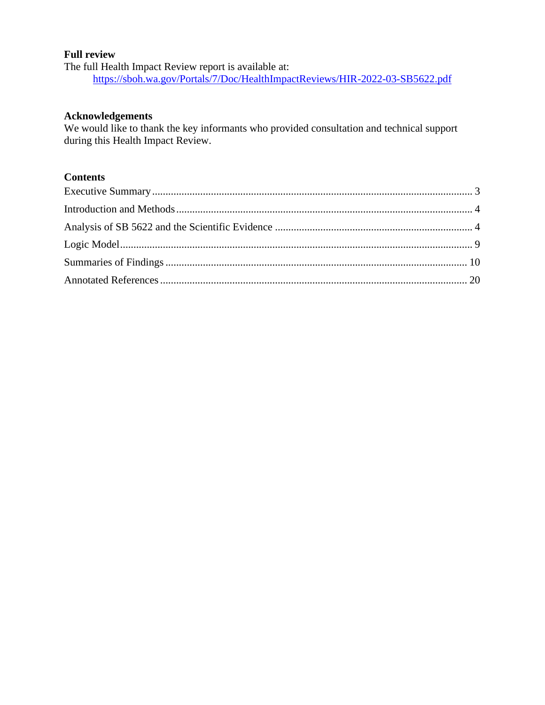### **Full review**

The full Health Impact Review report is available at: <https://sboh.wa.gov/Portals/7/Doc/HealthImpactReviews/HIR-2022-03-SB5622.pdf>

#### **Acknowledgements**

We would like to thank the key informants who provided consultation and technical support during this Health Impact Review.

## **Contents**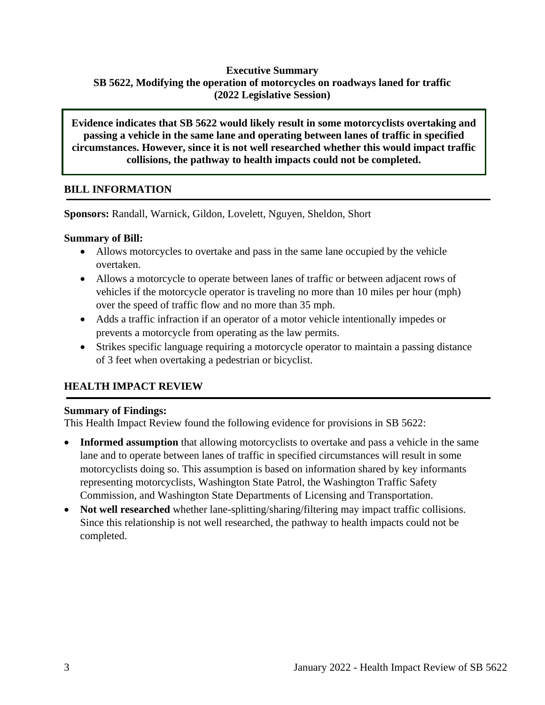## **Executive Summary SB 5622, Modifying the operation of motorcycles on roadways laned for traffic (2022 Legislative Session)**

**Evidence indicates that SB 5622 would likely result in some motorcyclists overtaking and passing a vehicle in the same lane and operating between lanes of traffic in specified circumstances. However, since it is not well researched whether this would impact traffic collisions, the pathway to health impacts could not be completed.**

## **BILL INFORMATION**

**Sponsors:** [Randall,](https://leg.wa.gov/senate/senators/pages/default.aspx#randall) [Warnick,](https://leg.wa.gov/senate/senators/pages/default.aspx#warnick) [Gildon,](https://leg.wa.gov/senate/senators/pages/default.aspx#gildon) [Lovelett,](https://leg.wa.gov/senate/senators/pages/default.aspx#lovelett) [Nguyen,](https://leg.wa.gov/senate/senators/pages/default.aspx#nguyen) [Sheldon,](https://leg.wa.gov/senate/senators/pages/default.aspx#sheldon) [Short](https://leg.wa.gov/senate/senators/pages/default.aspx#short)

## **Summary of Bill:**

- Allows motorcycles to overtake and pass in the same lane occupied by the vehicle overtaken.
- Allows a motorcycle to operate between lanes of traffic or between adjacent rows of vehicles if the motorcycle operator is traveling no more than 10 miles per hour (mph) over the speed of traffic flow and no more than 35 mph.
- Adds a traffic infraction if an operator of a motor vehicle intentionally impedes or prevents a motorcycle from operating as the law permits.
- Strikes specific language requiring a motorcycle operator to maintain a passing distance of 3 feet when overtaking a pedestrian or bicyclist.

# **HEALTH IMPACT REVIEW**

## **Summary of Findings:**

This Health Impact Review found the following evidence for provisions in SB 5622:

- **Informed assumption** that allowing motorcyclists to overtake and pass a vehicle in the same lane and to operate between lanes of traffic in specified circumstances will result in some motorcyclists doing so. This assumption is based on information shared by key informants representing motorcyclists, Washington State Patrol, the Washington Traffic Safety Commission, and Washington State Departments of Licensing and Transportation.
- <span id="page-2-0"></span>• **Not well researched** whether lane-splitting/sharing/filtering may impact traffic collisions. Since this relationship is not well researched, the pathway to health impacts could not be completed.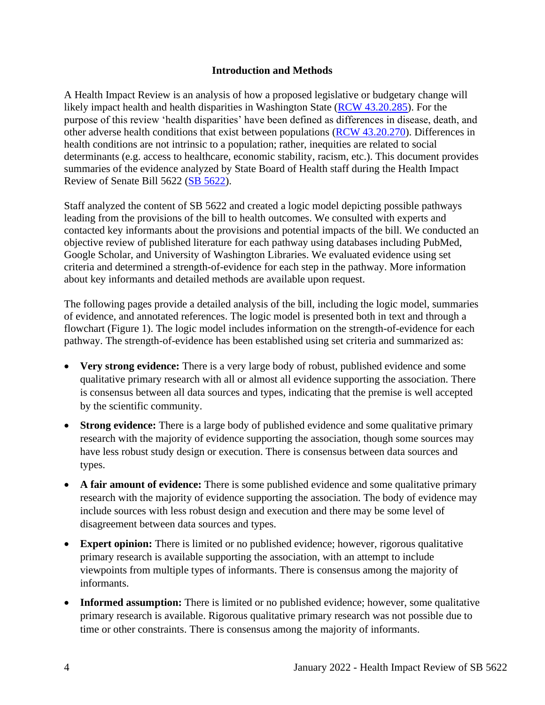### **Introduction and Methods**

<span id="page-3-0"></span>A Health Impact Review is an analysis of how a proposed legislative or budgetary change will likely impact health and health disparities in Washington State [\(RCW 43.20.285\)](http://apps.leg.wa.gov/rcw/default.aspx?cite=43.20.285). For the purpose of this review 'health disparities' have been defined as differences in disease, death, and other adverse health conditions that exist between populations [\(RCW 43.20.270\)](http://apps.leg.wa.gov/rcw/default.aspx?cite=43.20.270). Differences in health conditions are not intrinsic to a population; rather, inequities are related to social determinants (e.g. access to healthcare, economic stability, racism, etc.). This document provides summaries of the evidence analyzed by State Board of Health staff during the Health Impact Review of Senate Bill 5622 [\(SB 5622\)](https://app.leg.wa.gov/billsummary?billnumber=5622&year=2022).

Staff analyzed the content of SB 5622 and created a logic model depicting possible pathways leading from the provisions of the bill to health outcomes. We consulted with experts and contacted key informants about the provisions and potential impacts of the bill. We conducted an objective review of published literature for each pathway using databases including PubMed, Google Scholar, and University of Washington Libraries. We evaluated evidence using set criteria and determined a strength-of-evidence for each step in the pathway. More information about key informants and detailed methods are available upon request.

The following pages provide a detailed analysis of the bill, including the logic model, summaries of evidence, and annotated references. The logic model is presented both in text and through a flowchart (Figure 1). The logic model includes information on the strength-of-evidence for each pathway. The strength-of-evidence has been established using set criteria and summarized as:

- **Very strong evidence:** There is a very large body of robust, published evidence and some qualitative primary research with all or almost all evidence supporting the association. There is consensus between all data sources and types, indicating that the premise is well accepted by the scientific community.
- **Strong evidence:** There is a large body of published evidence and some qualitative primary research with the majority of evidence supporting the association, though some sources may have less robust study design or execution. There is consensus between data sources and types.
- A fair amount of evidence: There is some published evidence and some qualitative primary research with the majority of evidence supporting the association. The body of evidence may include sources with less robust design and execution and there may be some level of disagreement between data sources and types.
- **Expert opinion:** There is limited or no published evidence; however, rigorous qualitative primary research is available supporting the association, with an attempt to include viewpoints from multiple types of informants. There is consensus among the majority of informants.
- **Informed assumption:** There is limited or no published evidence; however, some qualitative primary research is available. Rigorous qualitative primary research was not possible due to time or other constraints. There is consensus among the majority of informants.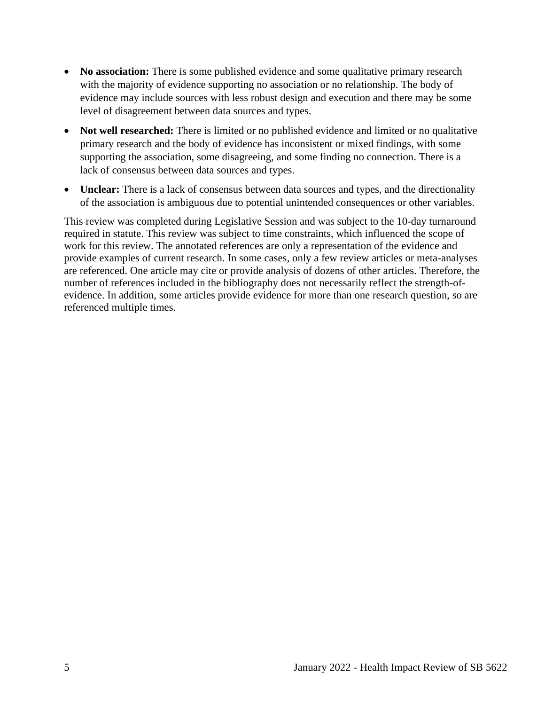- **No association:** There is some published evidence and some qualitative primary research with the majority of evidence supporting no association or no relationship. The body of evidence may include sources with less robust design and execution and there may be some level of disagreement between data sources and types.
- **Not well researched:** There is limited or no published evidence and limited or no qualitative primary research and the body of evidence has inconsistent or mixed findings, with some supporting the association, some disagreeing, and some finding no connection. There is a lack of consensus between data sources and types.
- **Unclear:** There is a lack of consensus between data sources and types, and the directionality of the association is ambiguous due to potential unintended consequences or other variables.

This review was completed during Legislative Session and was subject to the 10-day turnaround required in statute. This review was subject to time constraints, which influenced the scope of work for this review. The annotated references are only a representation of the evidence and provide examples of current research. In some cases, only a few review articles or meta-analyses are referenced. One article may cite or provide analysis of dozens of other articles. Therefore, the number of references included in the bibliography does not necessarily reflect the strength-ofevidence. In addition, some articles provide evidence for more than one research question, so are referenced multiple times.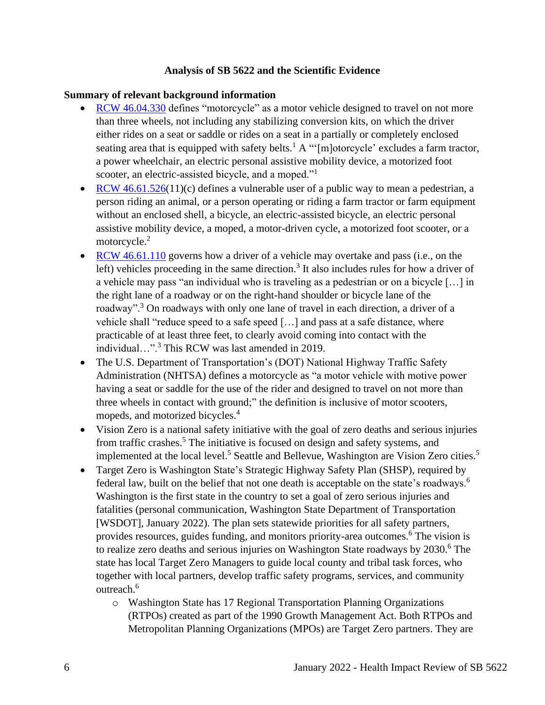### **Analysis of SB 5622 and the Scientific Evidence**

#### **Summary of relevant background information**

- [RCW 46.04.330](https://app.leg.wa.gov/RCW/default.aspx?cite=46.04.330) defines "motorcycle" as a motor vehicle designed to travel on not more than three wheels, not including any stabilizing conversion kits, on which the driver either rides on a seat or saddle or rides on a seat in a partially or completely enclosed seating area that is equipped with safety belts.<sup>1</sup> A "'[m]otorcycle' excludes a farm tractor, a power wheelchair, an electric personal assistive mobility device, a motorized foot scooter, an electric-assisted bicycle, and a moped."<sup>1</sup>
- [RCW 46.61.526\(](https://app.leg.wa.gov/RCW/default.aspx?cite=46.61.526)11)(c) defines a vulnerable user of a public way to mean a pedestrian, a person riding an animal, or a person operating or riding a farm tractor or farm equipment without an enclosed shell, a bicycle, an electric-assisted bicycle, an electric personal assistive mobility device, a moped, a motor-driven cycle, a motorized foot scooter, or a motorcycle.<sup>2</sup>
- RCW [46.61.110](https://app.leg.wa.gov/rcw/default.aspx?cite=46.61.110) governs how a driver of a vehicle may overtake and pass (i.e., on the left) vehicles proceeding in the same direction.<sup>3</sup> It also includes rules for how a driver of a vehicle may pass "an individual who is traveling as a pedestrian or on a bicycle […] in the right lane of a roadway or on the right-hand shoulder or bicycle lane of the roadway".<sup>3</sup> On roadways with only one lane of travel in each direction, a driver of a vehicle shall "reduce speed to a safe speed […] and pass at a safe distance, where practicable of at least three feet, to clearly avoid coming into contact with the individual…".<sup>3</sup> This RCW was last amended in 2019.
- The U.S. Department of Transportation's (DOT) National Highway Traffic Safety Administration (NHTSA) defines a motorcycle as "a motor vehicle with motive power having a seat or saddle for the use of the rider and designed to travel on not more than three wheels in contact with ground;" the definition is inclusive of motor scooters, mopeds, and motorized bicycles. 4
- Vision Zero is a national safety initiative with the goal of zero deaths and serious injuries from traffic crashes.<sup>5</sup> The initiative is focused on design and safety systems, and implemented at the local level.<sup>5</sup> Seattle and Bellevue, Washington are Vision Zero cities.<sup>5</sup>
- Target Zero is Washington State's Strategic Highway Safety Plan (SHSP), required by federal law, built on the belief that not one death is acceptable on the state's roadways.<sup>6</sup> Washington is the first state in the country to set a goal of zero serious injuries and fatalities (personal communication, Washington State Department of Transportation [WSDOT], January 2022). The plan sets statewide priorities for all safety partners, provides resources, guides funding, and monitors priority-area outcomes.<sup>6</sup> The vision is to realize zero deaths and serious injuries on Washington State roadways by  $2030$ .<sup>6</sup> The state has local Target Zero Managers to guide local county and tribal task forces, who together with local partners, develop traffic safety programs, services, and community outreach.<sup>6</sup>
	- o Washington State has 17 Regional Transportation Planning Organizations (RTPOs) created as part of the 1990 Growth Management Act. Both RTPOs and Metropolitan Planning Organizations (MPOs) are Target Zero partners. They are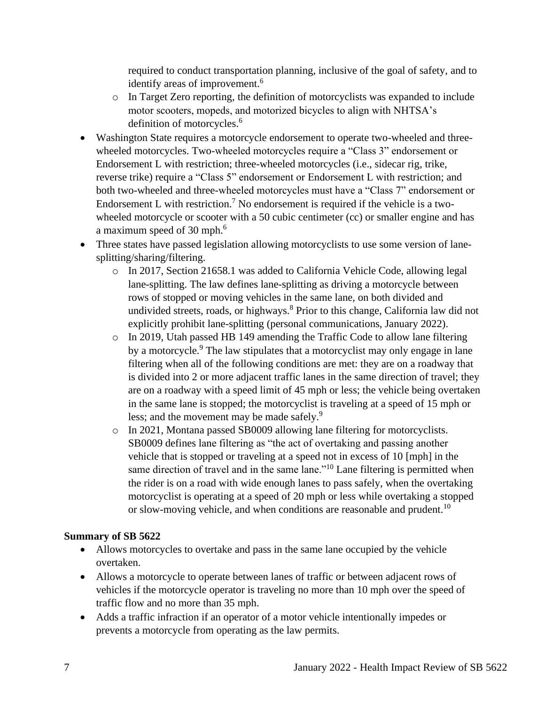required to conduct transportation planning, inclusive of the goal of safety, and to identify areas of improvement.<sup>6</sup>

- o In Target Zero reporting, the definition of motorcyclists was expanded to include motor scooters, mopeds, and motorized bicycles to align with NHTSA's definition of motorcycles. 6
- Washington State requires a motorcycle endorsement to operate two-wheeled and threewheeled motorcycles. Two-wheeled motorcycles require a "Class 3" endorsement or Endorsement L with restriction; three-wheeled motorcycles (i.e., sidecar rig, trike, reverse trike) require a "Class 5" endorsement or Endorsement L with restriction; and both two-wheeled and three-wheeled motorcycles must have a "Class 7" endorsement or Endorsement L with restriction.<sup>7</sup> No endorsement is required if the vehicle is a twowheeled motorcycle or scooter with a 50 cubic centimeter (cc) or smaller engine and has a maximum speed of 30 mph.<sup>6</sup>
- Three states have passed legislation allowing motorcyclists to use some version of lanesplitting/sharing/filtering.
	- o In 2017, Section 21658.1 was added to California Vehicle Code, allowing legal lane-splitting. The law defines lane-splitting as driving a motorcycle between rows of stopped or moving vehicles in the same lane, on both divided and undivided streets, roads, or highways.<sup>8</sup> Prior to this change, California law did not explicitly prohibit lane-splitting (personal communications, January 2022).
	- o In 2019, Utah passed HB 149 amending the Traffic Code to allow lane filtering by a motorcycle.<sup>9</sup> The law stipulates that a motorcyclist may only engage in lane filtering when all of the following conditions are met: they are on a roadway that is divided into 2 or more adjacent traffic lanes in the same direction of travel; they are on a roadway with a speed limit of 45 mph or less; the vehicle being overtaken in the same lane is stopped; the motorcyclist is traveling at a speed of 15 mph or less; and the movement may be made safely.<sup>9</sup>
	- o In 2021, Montana passed SB0009 allowing lane filtering for motorcyclists. SB0009 defines lane filtering as "the act of overtaking and passing another vehicle that is stopped or traveling at a speed not in excess of 10 [mph] in the same direction of travel and in the same lane."<sup>10</sup> Lane filtering is permitted when the rider is on a road with wide enough lanes to pass safely, when the overtaking motorcyclist is operating at a speed of 20 mph or less while overtaking a stopped or slow-moving vehicle, and when conditions are reasonable and prudent.<sup>10</sup>

## **Summary of SB 5622**

- Allows motorcycles to overtake and pass in the same lane occupied by the vehicle overtaken.
- Allows a motorcycle to operate between lanes of traffic or between adjacent rows of vehicles if the motorcycle operator is traveling no more than 10 mph over the speed of traffic flow and no more than 35 mph.
- Adds a traffic infraction if an operator of a motor vehicle intentionally impedes or prevents a motorcycle from operating as the law permits.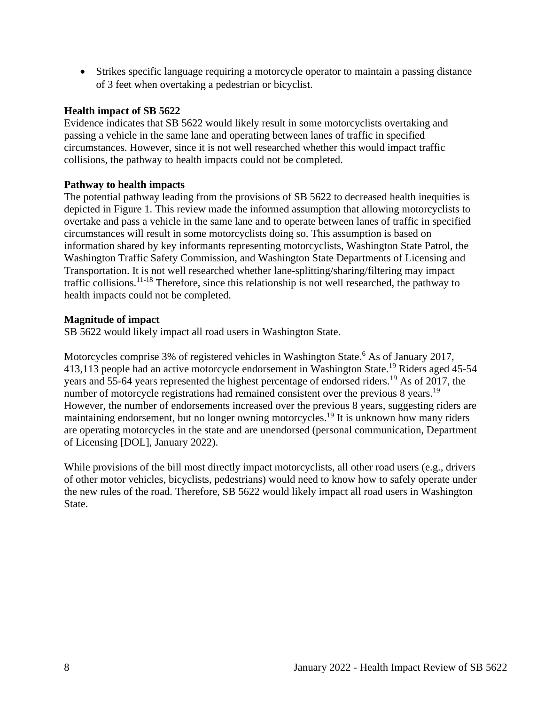• Strikes specific language requiring a motorcycle operator to maintain a passing distance of 3 feet when overtaking a pedestrian or bicyclist.

### **Health impact of SB 5622**

Evidence indicates that SB 5622 would likely result in some motorcyclists overtaking and passing a vehicle in the same lane and operating between lanes of traffic in specified circumstances. However, since it is not well researched whether this would impact traffic collisions, the pathway to health impacts could not be completed.

#### **Pathway to health impacts**

The potential pathway leading from the provisions of SB 5622 to decreased health inequities is depicted in Figure 1. This review made the informed assumption that allowing motorcyclists to overtake and pass a vehicle in the same lane and to operate between lanes of traffic in specified circumstances will result in some motorcyclists doing so. This assumption is based on information shared by key informants representing motorcyclists, Washington State Patrol, the Washington Traffic Safety Commission, and Washington State Departments of Licensing and Transportation. It is not well researched whether lane-splitting/sharing/filtering may impact traffic collisions.<sup>11-18</sup> Therefore, since this relationship is not well researched, the pathway to health impacts could not be completed.

#### **Magnitude of impact**

SB 5622 would likely impact all road users in Washington State.

Motorcycles comprise 3% of registered vehicles in Washington State.<sup>6</sup> As of January 2017, 413,113 people had an active motorcycle endorsement in Washington State.<sup>19</sup> Riders aged 45-54 years and 55-64 years represented the highest percentage of endorsed riders.<sup>19</sup> As of 2017, the number of motorcycle registrations had remained consistent over the previous 8 years.<sup>19</sup> However, the number of endorsements increased over the previous 8 years, suggesting riders are maintaining endorsement, but no longer owning motorcycles.<sup>19</sup> It is unknown how many riders are operating motorcycles in the state and are unendorsed (personal communication, Department of Licensing [DOL], January 2022).

While provisions of the bill most directly impact motorcyclists, all other road users (e.g., drivers of other motor vehicles, bicyclists, pedestrians) would need to know how to safely operate under the new rules of the road. Therefore, SB 5622 would likely impact all road users in Washington State.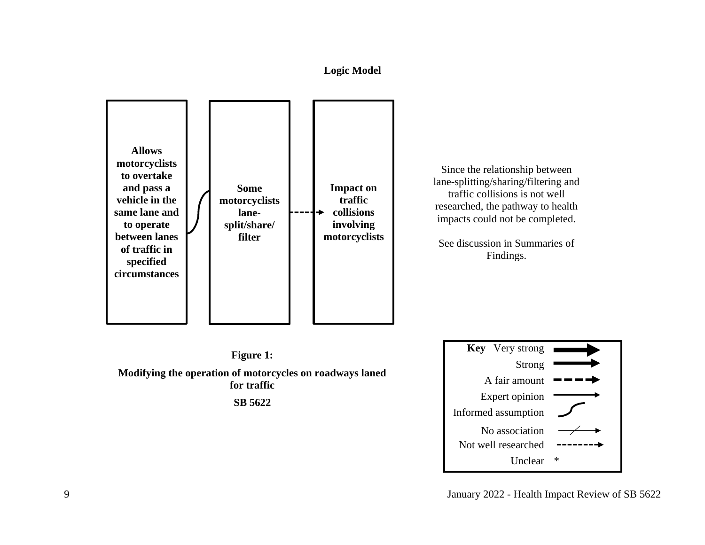## **Logic Model**



Since the relationship between lane-splitting/sharing/filtering and traffic collisions is not well researched, the pathway to health impacts could not be completed.

See discussion in Summaries of Findings.



9 January 2022 - Health Impact Review of SB 5622

<span id="page-8-0"></span>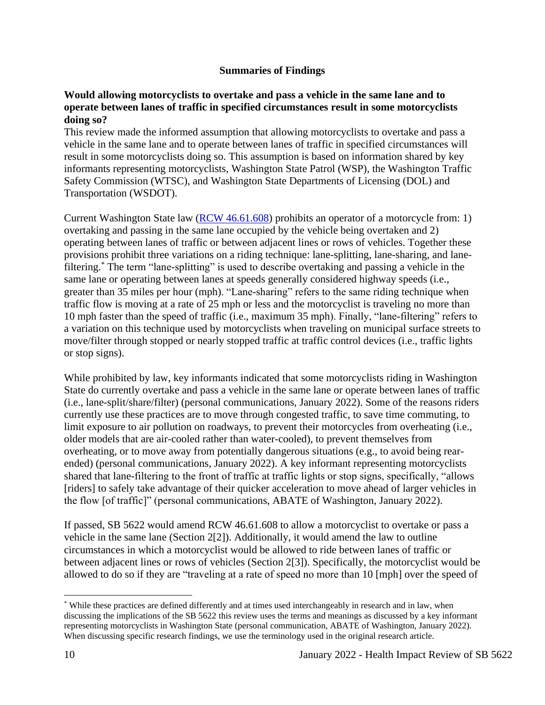### **Summaries of Findings**

### <span id="page-9-0"></span>**Would allowing motorcyclists to overtake and pass a vehicle in the same lane and to operate between lanes of traffic in specified circumstances result in some motorcyclists doing so?**

This review made the informed assumption that allowing motorcyclists to overtake and pass a vehicle in the same lane and to operate between lanes of traffic in specified circumstances will result in some motorcyclists doing so. This assumption is based on information shared by key informants representing motorcyclists, Washington State Patrol (WSP), the Washington Traffic Safety Commission (WTSC), and Washington State Departments of Licensing (DOL) and Transportation (WSDOT).

Current Washington State law [\(RCW 46.61.608\)](https://app.leg.wa.gov/rcw/default.aspx?cite=46.61.608) prohibits an operator of a motorcycle from: 1) overtaking and passing in the same lane occupied by the vehicle being overtaken and 2) operating between lanes of traffic or between adjacent lines or rows of vehicles. Together these provisions prohibit three variations on a riding technique: lane-splitting, lane-sharing, and lanefiltering.\* The term "lane-splitting" is used to describe overtaking and passing a vehicle in the same lane or operating between lanes at speeds generally considered highway speeds (i.e., greater than 35 miles per hour (mph). "Lane-sharing" refers to the same riding technique when traffic flow is moving at a rate of 25 mph or less and the motorcyclist is traveling no more than 10 mph faster than the speed of traffic (i.e., maximum 35 mph). Finally, "lane-filtering" refers to a variation on this technique used by motorcyclists when traveling on municipal surface streets to move/filter through stopped or nearly stopped traffic at traffic control devices (i.e., traffic lights or stop signs).

While prohibited by law, key informants indicated that some motorcyclists riding in Washington State do currently overtake and pass a vehicle in the same lane or operate between lanes of traffic (i.e., lane-split/share/filter) (personal communications, January 2022). Some of the reasons riders currently use these practices are to move through congested traffic, to save time commuting, to limit exposure to air pollution on roadways, to prevent their motorcycles from overheating (i.e., older models that are air-cooled rather than water-cooled), to prevent themselves from overheating, or to move away from potentially dangerous situations (e.g., to avoid being rearended) (personal communications, January 2022). A key informant representing motorcyclists shared that lane-filtering to the front of traffic at traffic lights or stop signs, specifically, "allows [riders] to safely take advantage of their quicker acceleration to move ahead of larger vehicles in the flow [of traffic]" (personal communications, ABATE of Washington, January 2022).

If passed, SB 5622 would amend RCW 46.61.608 to allow a motorcyclist to overtake or pass a vehicle in the same lane (Section 2[2]). Additionally, it would amend the law to outline circumstances in which a motorcyclist would be allowed to ride between lanes of traffic or between adjacent lines or rows of vehicles (Section 2[3]). Specifically, the motorcyclist would be allowed to do so if they are "traveling at a rate of speed no more than 10 [mph] over the speed of

<sup>\*</sup> While these practices are defined differently and at times used interchangeably in research and in law, when discussing the implications of the SB 5622 this review uses the terms and meanings as discussed by a key informant representing motorcyclists in Washington State (personal communication, ABATE of Washington, January 2022). When discussing specific research findings, we use the terminology used in the original research article.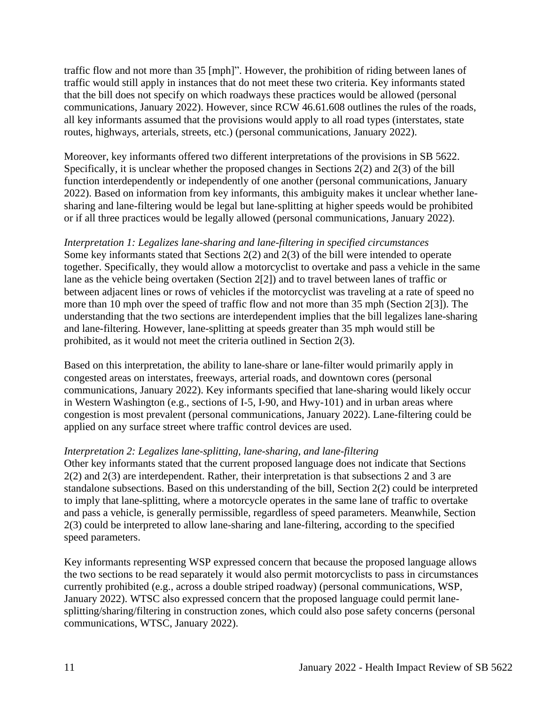traffic flow and not more than 35 [mph]". However, the prohibition of riding between lanes of traffic would still apply in instances that do not meet these two criteria. Key informants stated that the bill does not specify on which roadways these practices would be allowed (personal communications, January 2022). However, since RCW 46.61.608 outlines the rules of the roads, all key informants assumed that the provisions would apply to all road types (interstates, state routes, highways, arterials, streets, etc.) (personal communications, January 2022).

Moreover, key informants offered two different interpretations of the provisions in SB 5622. Specifically, it is unclear whether the proposed changes in Sections 2(2) and 2(3) of the bill function interdependently or independently of one another (personal communications, January 2022). Based on information from key informants, this ambiguity makes it unclear whether lanesharing and lane-filtering would be legal but lane-splitting at higher speeds would be prohibited or if all three practices would be legally allowed (personal communications, January 2022).

*Interpretation 1: Legalizes lane-sharing and lane-filtering in specified circumstances* Some key informants stated that Sections 2(2) and 2(3) of the bill were intended to operate together. Specifically, they would allow a motorcyclist to overtake and pass a vehicle in the same lane as the vehicle being overtaken (Section 2[2]) and to travel between lanes of traffic or between adjacent lines or rows of vehicles if the motorcyclist was traveling at a rate of speed no more than 10 mph over the speed of traffic flow and not more than 35 mph (Section 2[3]). The understanding that the two sections are interdependent implies that the bill legalizes lane-sharing and lane-filtering. However, lane-splitting at speeds greater than 35 mph would still be prohibited, as it would not meet the criteria outlined in Section 2(3).

Based on this interpretation, the ability to lane-share or lane-filter would primarily apply in congested areas on interstates, freeways, arterial roads, and downtown cores (personal communications, January 2022). Key informants specified that lane-sharing would likely occur in Western Washington (e.g., sections of I-5, I-90, and Hwy-101) and in urban areas where congestion is most prevalent (personal communications, January 2022). Lane-filtering could be applied on any surface street where traffic control devices are used.

#### *Interpretation 2: Legalizes lane-splitting, lane-sharing, and lane-filtering*

Other key informants stated that the current proposed language does not indicate that Sections 2(2) and 2(3) are interdependent. Rather, their interpretation is that subsections 2 and 3 are standalone subsections. Based on this understanding of the bill, Section 2(2) could be interpreted to imply that lane-splitting, where a motorcycle operates in the same lane of traffic to overtake and pass a vehicle, is generally permissible, regardless of speed parameters. Meanwhile, Section 2(3) could be interpreted to allow lane-sharing and lane-filtering, according to the specified speed parameters.

Key informants representing WSP expressed concern that because the proposed language allows the two sections to be read separately it would also permit motorcyclists to pass in circumstances currently prohibited (e.g., across a double striped roadway) (personal communications, WSP, January 2022). WTSC also expressed concern that the proposed language could permit lanesplitting/sharing/filtering in construction zones, which could also pose safety concerns (personal communications, WTSC, January 2022).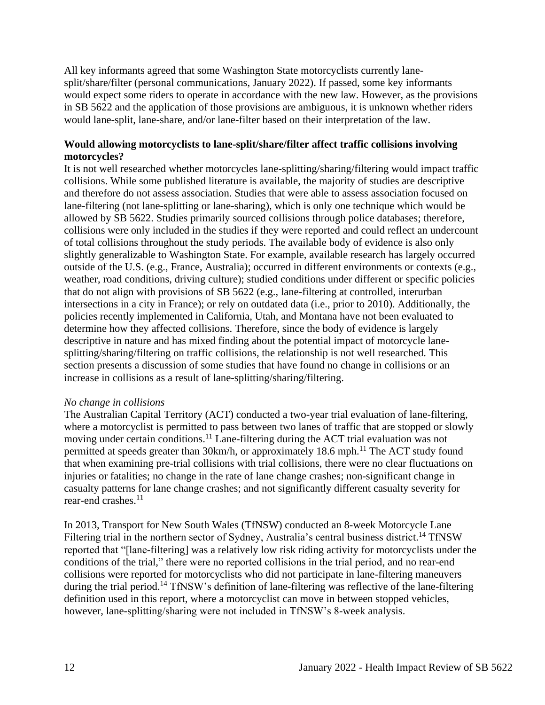All key informants agreed that some Washington State motorcyclists currently lanesplit/share/filter (personal communications, January 2022). If passed, some key informants would expect some riders to operate in accordance with the new law. However, as the provisions in SB 5622 and the application of those provisions are ambiguous, it is unknown whether riders would lane-split, lane-share, and/or lane-filter based on their interpretation of the law.

## **Would allowing motorcyclists to lane-split/share/filter affect traffic collisions involving motorcycles?**

It is not well researched whether motorcycles lane-splitting/sharing/filtering would impact traffic collisions. While some published literature is available, the majority of studies are descriptive and therefore do not assess association. Studies that were able to assess association focused on lane-filtering (not lane-splitting or lane-sharing), which is only one technique which would be allowed by SB 5622. Studies primarily sourced collisions through police databases; therefore, collisions were only included in the studies if they were reported and could reflect an undercount of total collisions throughout the study periods. The available body of evidence is also only slightly generalizable to Washington State. For example, available research has largely occurred outside of the U.S. (e.g., France, Australia); occurred in different environments or contexts (e.g., weather, road conditions, driving culture); studied conditions under different or specific policies that do not align with provisions of SB 5622 (e.g., lane-filtering at controlled, interurban intersections in a city in France); or rely on outdated data (i.e., prior to 2010). Additionally, the policies recently implemented in California, Utah, and Montana have not been evaluated to determine how they affected collisions. Therefore, since the body of evidence is largely descriptive in nature and has mixed finding about the potential impact of motorcycle lanesplitting/sharing/filtering on traffic collisions, the relationship is not well researched. This section presents a discussion of some studies that have found no change in collisions or an increase in collisions as a result of lane-splitting/sharing/filtering.

#### *No change in collisions*

The Australian Capital Territory (ACT) conducted a two-year trial evaluation of lane-filtering, where a motorcyclist is permitted to pass between two lanes of traffic that are stopped or slowly moving under certain conditions.<sup>11</sup> Lane-filtering during the ACT trial evaluation was not permitted at speeds greater than 30km/h, or approximately 18.6 mph.<sup>11</sup> The ACT study found that when examining pre-trial collisions with trial collisions, there were no clear fluctuations on injuries or fatalities; no change in the rate of lane change crashes; non-significant change in casualty patterns for lane change crashes; and not significantly different casualty severity for rear-end crashes. 11

In 2013, Transport for New South Wales (TfNSW) conducted an 8-week Motorcycle Lane Filtering trial in the northern sector of Sydney, Australia's central business district.<sup>14</sup> TfNSW reported that "[lane-filtering] was a relatively low risk riding activity for motorcyclists under the conditions of the trial," there were no reported collisions in the trial period, and no rear-end collisions were reported for motorcyclists who did not participate in lane-filtering maneuvers during the trial period.<sup>14</sup> TfNSW's definition of lane-filtering was reflective of the lane-filtering definition used in this report, where a motorcyclist can move in between stopped vehicles, however, lane-splitting/sharing were not included in TfNSW's 8-week analysis.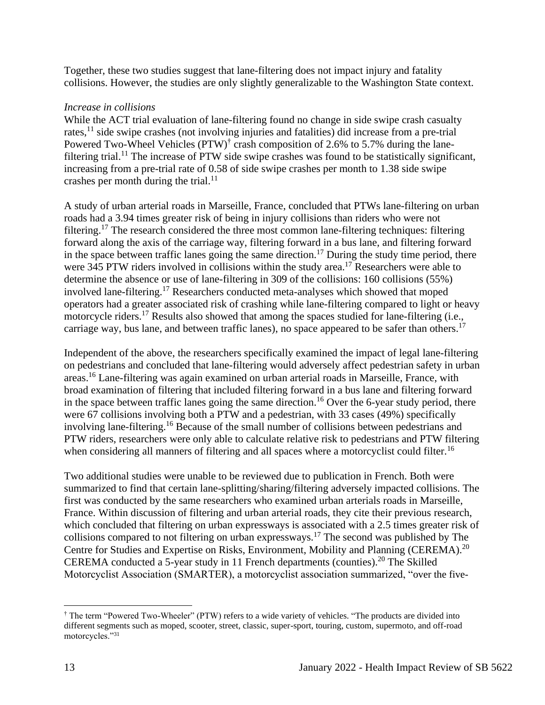Together, these two studies suggest that lane-filtering does not impact injury and fatality collisions. However, the studies are only slightly generalizable to the Washington State context.

### *Increase in collisions*

While the ACT trial evaluation of lane-filtering found no change in side swipe crash casualty rates,<sup>11</sup> side swipe crashes (not involving injuries and fatalities) did increase from a pre-trial Powered Two-Wheel Vehicles  $(PTW)^{\dagger}$  crash composition of 2.6% to 5.7% during the lanefiltering trial.<sup>11</sup> The increase of PTW side swipe crashes was found to be statistically significant, increasing from a pre-trial rate of 0.58 of side swipe crashes per month to 1.38 side swipe crashes per month during the trial. $^{11}$ 

A study of urban arterial roads in Marseille, France, concluded that PTWs lane-filtering on urban roads had a 3.94 times greater risk of being in injury collisions than riders who were not filtering.<sup>17</sup> The research considered the three most common lane-filtering techniques: filtering forward along the axis of the carriage way, filtering forward in a bus lane, and filtering forward in the space between traffic lanes going the same direction.<sup>17</sup> During the study time period, there were 345 PTW riders involved in collisions within the study area.<sup>17</sup> Researchers were able to determine the absence or use of lane-filtering in 309 of the collisions: 160 collisions (55%) involved lane-filtering.<sup>17</sup> Researchers conducted meta-analyses which showed that moped operators had a greater associated risk of crashing while lane-filtering compared to light or heavy motorcycle riders.<sup>17</sup> Results also showed that among the spaces studied for lane-filtering (i.e., carriage way, bus lane, and between traffic lanes), no space appeared to be safer than others.<sup>17</sup>

Independent of the above, the researchers specifically examined the impact of legal lane-filtering on pedestrians and concluded that lane-filtering would adversely affect pedestrian safety in urban areas.<sup>16</sup> Lane-filtering was again examined on urban arterial roads in Marseille, France, with broad examination of filtering that included filtering forward in a bus lane and filtering forward in the space between traffic lanes going the same direction.<sup>16</sup> Over the 6-year study period, there were 67 collisions involving both a PTW and a pedestrian, with 33 cases (49%) specifically involving lane-filtering.<sup>16</sup> Because of the small number of collisions between pedestrians and PTW riders, researchers were only able to calculate relative risk to pedestrians and PTW filtering when considering all manners of filtering and all spaces where a motorcyclist could filter.<sup>16</sup>

Two additional studies were unable to be reviewed due to publication in French. Both were summarized to find that certain lane-splitting/sharing/filtering adversely impacted collisions. The first was conducted by the same researchers who examined urban arterials roads in Marseille, France. Within discussion of filtering and urban arterial roads, they cite their previous research, which concluded that filtering on urban expressways is associated with a 2.5 times greater risk of collisions compared to not filtering on urban expressways.<sup>17</sup> The second was published by The Centre for Studies and Expertise on Risks, Environment, Mobility and Planning (CEREMA).<sup>20</sup> CEREMA conducted a 5-year study in 11 French departments (counties).<sup>20</sup> The Skilled Motorcyclist Association (SMARTER), a motorcyclist association summarized, "over the five-

<sup>†</sup> The term "Powered Two-Wheeler" (PTW) refers to a wide variety of vehicles. "The products are divided into different segments such as moped, scooter, street, classic, super-sport, touring, custom, supermoto, and off-road motorcycles."31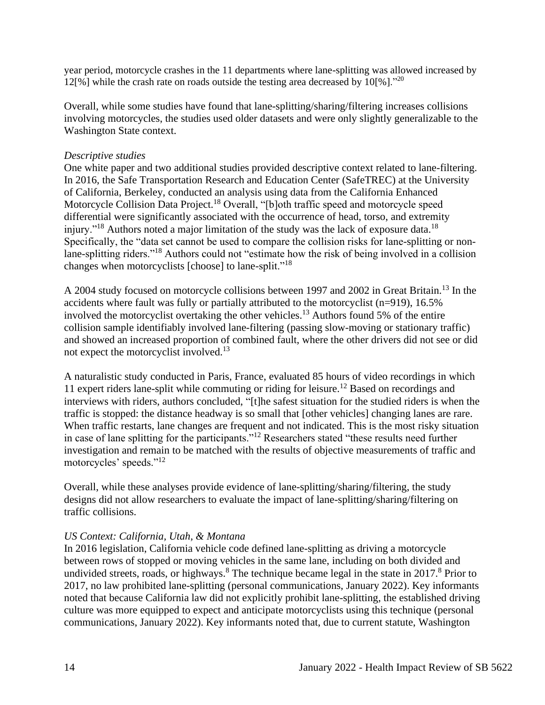year period, motorcycle crashes in the 11 departments where lane-splitting was allowed increased by 12[%] while the crash rate on roads outside the testing area decreased by  $10\frac{1}{20}$ ."<sup>20</sup>

Overall, while some studies have found that lane-splitting/sharing/filtering increases collisions involving motorcycles, the studies used older datasets and were only slightly generalizable to the Washington State context.

### *Descriptive studies*

One white paper and two additional studies provided descriptive context related to lane-filtering. In 2016, the Safe Transportation Research and Education Center (SafeTREC) at the University of California, Berkeley, conducted an analysis using data from the California Enhanced Motorcycle Collision Data Project.<sup>18</sup> Overall, "[b]oth traffic speed and motorcycle speed differential were significantly associated with the occurrence of head, torso, and extremity injury."<sup>18</sup> Authors noted a major limitation of the study was the lack of exposure data.<sup>18</sup> Specifically, the "data set cannot be used to compare the collision risks for lane-splitting or nonlane-splitting riders."<sup>18</sup> Authors could not "estimate how the risk of being involved in a collision changes when motorcyclists [choose] to lane-split."<sup>18</sup>

A 2004 study focused on motorcycle collisions between 1997 and 2002 in Great Britain.<sup>13</sup> In the accidents where fault was fully or partially attributed to the motorcyclist (n=919), 16.5% involved the motorcyclist overtaking the other vehicles.<sup>13</sup> Authors found 5% of the entire collision sample identifiably involved lane-filtering (passing slow-moving or stationary traffic) and showed an increased proportion of combined fault, where the other drivers did not see or did not expect the motorcyclist involved.<sup>13</sup>

A naturalistic study conducted in Paris, France, evaluated 85 hours of video recordings in which 11 expert riders lane-split while commuting or riding for leisure.<sup>12</sup> Based on recordings and interviews with riders, authors concluded, "[t]he safest situation for the studied riders is when the traffic is stopped: the distance headway is so small that [other vehicles] changing lanes are rare. When traffic restarts, lane changes are frequent and not indicated. This is the most risky situation in case of lane splitting for the participants."<sup>12</sup> Researchers stated "these results need further investigation and remain to be matched with the results of objective measurements of traffic and motorcycles' speeds."<sup>12</sup>

Overall, while these analyses provide evidence of lane-splitting/sharing/filtering, the study designs did not allow researchers to evaluate the impact of lane-splitting/sharing/filtering on traffic collisions.

## *US Context: California, Utah, & Montana*

In 2016 legislation, California vehicle code defined lane-splitting as driving a motorcycle between rows of stopped or moving vehicles in the same lane, including on both divided and undivided streets, roads, or highways.<sup>8</sup> The technique became legal in the state in 2017.<sup>8</sup> Prior to 2017, no law prohibited lane-splitting (personal communications, January 2022). Key informants noted that because California law did not explicitly prohibit lane-splitting, the established driving culture was more equipped to expect and anticipate motorcyclists using this technique (personal communications, January 2022). Key informants noted that, due to current statute, Washington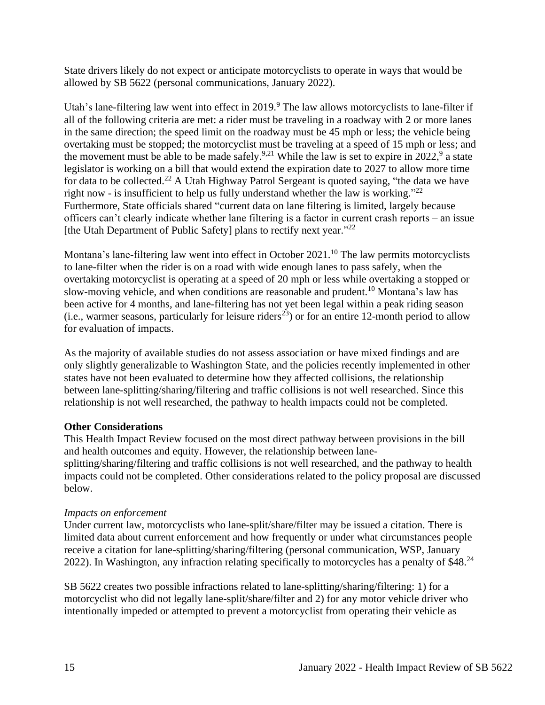State drivers likely do not expect or anticipate motorcyclists to operate in ways that would be allowed by SB 5622 (personal communications, January 2022).

Utah's lane-filtering law went into effect in  $2019$ . The law allows motorcyclists to lane-filter if all of the following criteria are met: a rider must be traveling in a roadway with 2 or more lanes in the same direction; the speed limit on the roadway must be 45 mph or less; the vehicle being overtaking must be stopped; the motorcyclist must be traveling at a speed of 15 mph or less; and the movement must be able to be made safely.<sup>9,21</sup> While the law is set to expire in 2022,<sup>9</sup> a state legislator is working on a bill that would extend the expiration date to 2027 to allow more time for data to be collected.<sup>22</sup> A Utah Highway Patrol Sergeant is quoted saying, "the data we have right now - is insufficient to help us fully understand whether the law is working."<sup>22</sup> Furthermore, State officials shared "current data on lane filtering is limited, largely because officers can't clearly indicate whether lane filtering is a factor in current crash reports – an issue [the Utah Department of Public Safety] plans to rectify next year."<sup>22</sup>

Montana's lane-filtering law went into effect in October  $2021$ .<sup>10</sup> The law permits motorcyclists to lane-filter when the rider is on a road with wide enough lanes to pass safely, when the overtaking motorcyclist is operating at a speed of 20 mph or less while overtaking a stopped or slow-moving vehicle, and when conditions are reasonable and prudent.<sup>10</sup> Montana's law has been active for 4 months, and lane-filtering has not yet been legal within a peak riding season (i.e., warmer seasons, particularly for leisure riders<sup>23</sup>) or for an entire 12-month period to allow for evaluation of impacts.

As the majority of available studies do not assess association or have mixed findings and are only slightly generalizable to Washington State, and the policies recently implemented in other states have not been evaluated to determine how they affected collisions, the relationship between lane-splitting/sharing/filtering and traffic collisions is not well researched. Since this relationship is not well researched, the pathway to health impacts could not be completed.

#### **Other Considerations**

This Health Impact Review focused on the most direct pathway between provisions in the bill and health outcomes and equity. However, the relationship between lanesplitting/sharing/filtering and traffic collisions is not well researched, and the pathway to health impacts could not be completed. Other considerations related to the policy proposal are discussed below.

## *Impacts on enforcement*

Under current law, motorcyclists who lane-split/share/filter may be issued a citation. There is limited data about current enforcement and how frequently or under what circumstances people receive a citation for lane-splitting/sharing/filtering (personal communication, WSP, January 2022). In Washington, any infraction relating specifically to motorcycles has a penalty of \$48.<sup>24</sup>

SB 5622 creates two possible infractions related to lane-splitting/sharing/filtering: 1) for a motorcyclist who did not legally lane-split/share/filter and 2) for any motor vehicle driver who intentionally impeded or attempted to prevent a motorcyclist from operating their vehicle as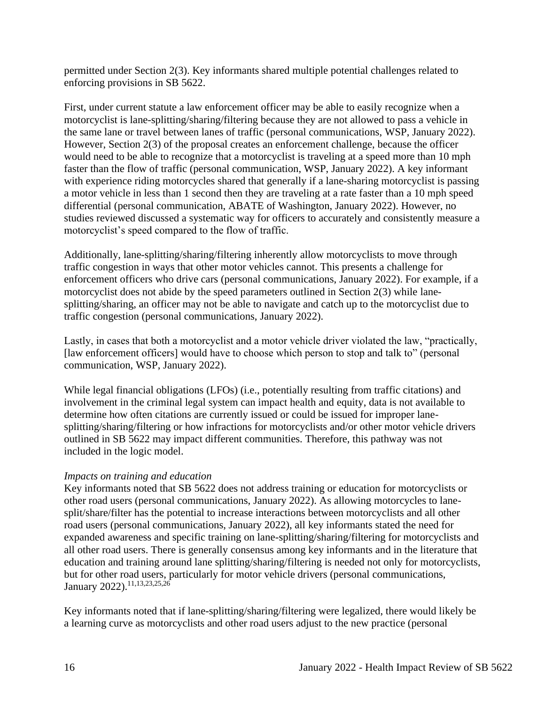permitted under Section 2(3). Key informants shared multiple potential challenges related to enforcing provisions in SB 5622.

First, under current statute a law enforcement officer may be able to easily recognize when a motorcyclist is lane-splitting/sharing/filtering because they are not allowed to pass a vehicle in the same lane or travel between lanes of traffic (personal communications, WSP, January 2022). However, Section 2(3) of the proposal creates an enforcement challenge, because the officer would need to be able to recognize that a motorcyclist is traveling at a speed more than 10 mph faster than the flow of traffic (personal communication, WSP, January 2022). A key informant with experience riding motorcycles shared that generally if a lane-sharing motorcyclist is passing a motor vehicle in less than 1 second then they are traveling at a rate faster than a 10 mph speed differential (personal communication, ABATE of Washington, January 2022). However, no studies reviewed discussed a systematic way for officers to accurately and consistently measure a motorcyclist's speed compared to the flow of traffic.

Additionally, lane-splitting/sharing/filtering inherently allow motorcyclists to move through traffic congestion in ways that other motor vehicles cannot. This presents a challenge for enforcement officers who drive cars (personal communications, January 2022). For example, if a motorcyclist does not abide by the speed parameters outlined in Section 2(3) while lanesplitting/sharing, an officer may not be able to navigate and catch up to the motorcyclist due to traffic congestion (personal communications, January 2022).

Lastly, in cases that both a motorcyclist and a motor vehicle driver violated the law, "practically, [law enforcement officers] would have to choose which person to stop and talk to" (personal communication, WSP, January 2022).

While legal financial obligations (LFOs) (i.e., potentially resulting from traffic citations) and involvement in the criminal legal system can impact health and equity, data is not available to determine how often citations are currently issued or could be issued for improper lanesplitting/sharing/filtering or how infractions for motorcyclists and/or other motor vehicle drivers outlined in SB 5622 may impact different communities. Therefore, this pathway was not included in the logic model.

## *Impacts on training and education*

Key informants noted that SB 5622 does not address training or education for motorcyclists or other road users (personal communications, January 2022). As allowing motorcycles to lanesplit/share/filter has the potential to increase interactions between motorcyclists and all other road users (personal communications, January 2022), all key informants stated the need for expanded awareness and specific training on lane-splitting/sharing/filtering for motorcyclists and all other road users. There is generally consensus among key informants and in the literature that education and training around lane splitting/sharing/filtering is needed not only for motorcyclists, but for other road users, particularly for motor vehicle drivers (personal communications, January 2022).<sup>11,13,23,25,26</sup>

Key informants noted that if lane-splitting/sharing/filtering were legalized, there would likely be a learning curve as motorcyclists and other road users adjust to the new practice (personal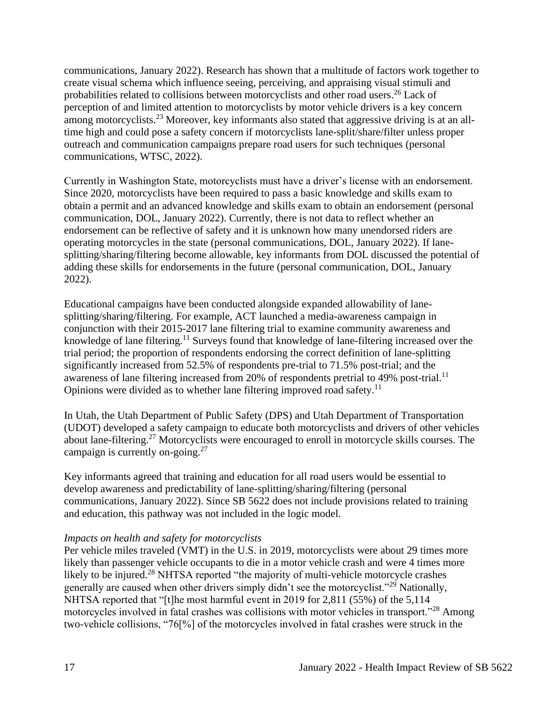communications, January 2022). Research has shown that a multitude of factors work together to create visual schema which influence seeing, perceiving, and appraising visual stimuli and probabilities related to collisions between motorcyclists and other road users. <sup>26</sup> Lack of perception of and limited attention to motorcyclists by motor vehicle drivers is a key concern among motorcyclists.<sup>23</sup> Moreover, key informants also stated that aggressive driving is at an alltime high and could pose a safety concern if motorcyclists lane-split/share/filter unless proper outreach and communication campaigns prepare road users for such techniques (personal communications, WTSC, 2022).

Currently in Washington State, motorcyclists must have a driver's license with an endorsement. Since 2020, motorcyclists have been required to pass a basic knowledge and skills exam to obtain a permit and an advanced knowledge and skills exam to obtain an endorsement (personal communication, DOL, January 2022). Currently, there is not data to reflect whether an endorsement can be reflective of safety and it is unknown how many unendorsed riders are operating motorcycles in the state (personal communications, DOL, January 2022). If lanesplitting/sharing/filtering become allowable, key informants from DOL discussed the potential of adding these skills for endorsements in the future (personal communication, DOL, January 2022).

Educational campaigns have been conducted alongside expanded allowability of lanesplitting/sharing/filtering. For example, ACT launched a media-awareness campaign in conjunction with their 2015-2017 lane filtering trial to examine community awareness and knowledge of lane filtering.<sup>11</sup> Surveys found that knowledge of lane-filtering increased over the trial period; the proportion of respondents endorsing the correct definition of lane-splitting significantly increased from 52.5% of respondents pre-trial to 71.5% post-trial; and the awareness of lane filtering increased from 20% of respondents pretrial to 49% post-trial.<sup>11</sup> Opinions were divided as to whether lane filtering improved road safety.<sup>11</sup>

In Utah, the Utah Department of Public Safety (DPS) and Utah Department of Transportation (UDOT) developed a safety campaign to educate both motorcyclists and drivers of other vehicles about lane-filtering.<sup>27</sup> Motorcyclists were encouraged to enroll in motorcycle skills courses. The campaign is currently on-going.<sup>27</sup>

Key informants agreed that training and education for all road users would be essential to develop awareness and predictability of lane-splitting/sharing/filtering (personal communications, January 2022). Since SB 5622 does not include provisions related to training and education, this pathway was not included in the logic model.

#### *Impacts on health and safety for motorcyclists*

Per vehicle miles traveled (VMT) in the U.S. in 2019, motorcyclists were about 29 times more likely than passenger vehicle occupants to die in a motor vehicle crash and were 4 times more likely to be injured.<sup>28</sup> NHTSA reported "the majority of multi-vehicle motorcycle crashes generally are caused when other drivers simply didn't see the motorcyclist."<sup>29</sup> Nationally, NHTSA reported that "[t]he most harmful event in 2019 for 2,811 (55%) of the 5,114 motorcycles involved in fatal crashes was collisions with motor vehicles in transport."<sup>28</sup> Among two-vehicle collisions, "76[%] of the motorcycles involved in fatal crashes were struck in the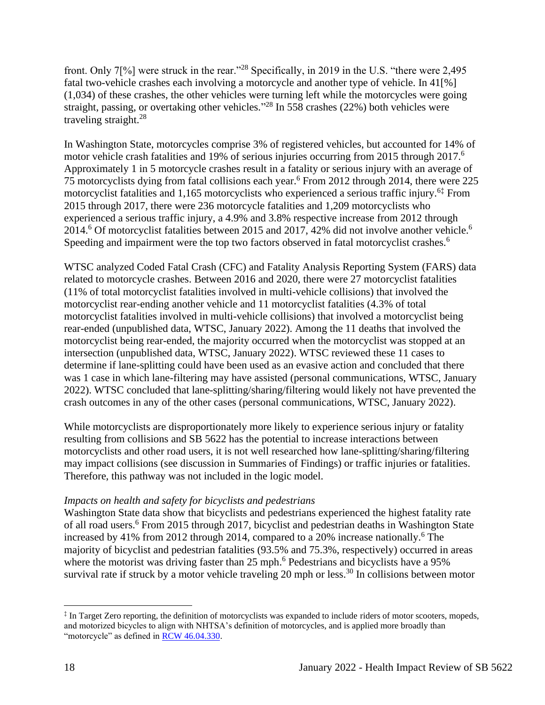front. Only 7[%] were struck in the rear."<sup>28</sup> Specifically, in 2019 in the U.S. "there were 2,495 fatal two-vehicle crashes each involving a motorcycle and another type of vehicle. In 41[%] (1,034) of these crashes, the other vehicles were turning left while the motorcycles were going straight, passing, or overtaking other vehicles."<sup>28</sup> In 558 crashes (22%) both vehicles were traveling straight.<sup>28</sup>

In Washington State, motorcycles comprise 3% of registered vehicles, but accounted for 14% of motor vehicle crash fatalities and 19% of serious injuries occurring from 2015 through 2017.<sup>6</sup> Approximately 1 in 5 motorcycle crashes result in a fatality or serious injury with an average of 75 motorcyclists dying from fatal collisions each year.<sup>6</sup> From 2012 through 2014, there were 225 motorcyclist fatalities and 1,165 motorcyclists who experienced a serious traffic injury.<sup>6‡</sup> From 2015 through 2017, there were 236 motorcycle fatalities and 1,209 motorcyclists who experienced a serious traffic injury, a 4.9% and 3.8% respective increase from 2012 through 2014.<sup>6</sup> Of motorcyclist fatalities between 2015 and 2017, 42% did not involve another vehicle.<sup>6</sup> Speeding and impairment were the top two factors observed in fatal motorcyclist crashes.<sup>6</sup>

WTSC analyzed Coded Fatal Crash (CFC) and Fatality Analysis Reporting System (FARS) data related to motorcycle crashes. Between 2016 and 2020, there were 27 motorcyclist fatalities (11% of total motorcyclist fatalities involved in multi-vehicle collisions) that involved the motorcyclist rear-ending another vehicle and 11 motorcyclist fatalities (4.3% of total motorcyclist fatalities involved in multi-vehicle collisions) that involved a motorcyclist being rear-ended (unpublished data, WTSC, January 2022). Among the 11 deaths that involved the motorcyclist being rear-ended, the majority occurred when the motorcyclist was stopped at an intersection (unpublished data, WTSC, January 2022). WTSC reviewed these 11 cases to determine if lane-splitting could have been used as an evasive action and concluded that there was 1 case in which lane-filtering may have assisted (personal communications, WTSC, January 2022). WTSC concluded that lane-splitting/sharing/filtering would likely not have prevented the crash outcomes in any of the other cases (personal communications, WTSC, January 2022).

While motorcyclists are disproportionately more likely to experience serious injury or fatality resulting from collisions and SB 5622 has the potential to increase interactions between motorcyclists and other road users, it is not well researched how lane-splitting/sharing/filtering may impact collisions (see discussion in Summaries of Findings) or traffic injuries or fatalities. Therefore, this pathway was not included in the logic model.

## *Impacts on health and safety for bicyclists and pedestrians*

Washington State data show that bicyclists and pedestrians experienced the highest fatality rate of all road users.<sup>6</sup> From 2015 through 2017, bicyclist and pedestrian deaths in Washington State increased by 41% from 2012 through 2014, compared to a 20% increase nationally.<sup>6</sup> The majority of bicyclist and pedestrian fatalities (93.5% and 75.3%, respectively) occurred in areas where the motorist was driving faster than 25 mph.<sup>6</sup> Pedestrians and bicyclists have a 95% survival rate if struck by a motor vehicle traveling 20 mph or less.<sup>30</sup> In collisions between motor

<sup>‡</sup> In Target Zero reporting, the definition of motorcyclists was expanded to include riders of motor scooters, mopeds, and motorized bicycles to align with NHTSA's definition of motorcycles, and is applied more broadly than "motorcycle" as defined in [RCW 46.04.330.](https://app.leg.wa.gov/RCW/default.aspx?cite=46.04.330)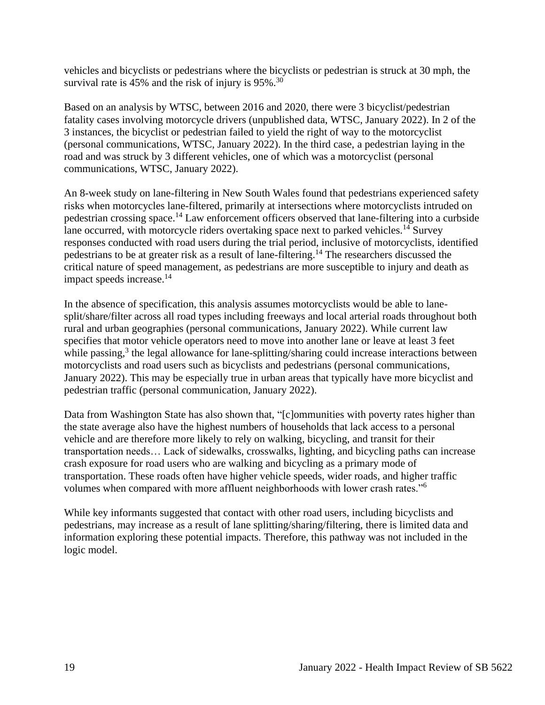vehicles and bicyclists or pedestrians where the bicyclists or pedestrian is struck at 30 mph, the survival rate is 45% and the risk of injury is 95%.<sup>30</sup>

Based on an analysis by WTSC, between 2016 and 2020, there were 3 bicyclist/pedestrian fatality cases involving motorcycle drivers (unpublished data, WTSC, January 2022). In 2 of the 3 instances, the bicyclist or pedestrian failed to yield the right of way to the motorcyclist (personal communications, WTSC, January 2022). In the third case, a pedestrian laying in the road and was struck by 3 different vehicles, one of which was a motorcyclist (personal communications, WTSC, January 2022).

An 8-week study on lane-filtering in New South Wales found that pedestrians experienced safety risks when motorcycles lane-filtered, primarily at intersections where motorcyclists intruded on pedestrian crossing space.<sup>14</sup> Law enforcement officers observed that lane-filtering into a curbside lane occurred, with motorcycle riders overtaking space next to parked vehicles.<sup>14</sup> Survey responses conducted with road users during the trial period, inclusive of motorcyclists, identified pedestrians to be at greater risk as a result of lane-filtering.<sup>14</sup> The researchers discussed the critical nature of speed management, as pedestrians are more susceptible to injury and death as impact speeds increase.<sup>14</sup>

In the absence of specification, this analysis assumes motorcyclists would be able to lanesplit/share/filter across all road types including freeways and local arterial roads throughout both rural and urban geographies (personal communications, January 2022). While current law specifies that motor vehicle operators need to move into another lane or leave at least 3 feet while passing,<sup>3</sup> the legal allowance for lane-splitting/sharing could increase interactions between motorcyclists and road users such as bicyclists and pedestrians (personal communications, January 2022). This may be especially true in urban areas that typically have more bicyclist and pedestrian traffic (personal communication, January 2022).

Data from Washington State has also shown that, "[c]ommunities with poverty rates higher than the state average also have the highest numbers of households that lack access to a personal vehicle and are therefore more likely to rely on walking, bicycling, and transit for their transportation needs… Lack of sidewalks, crosswalks, lighting, and bicycling paths can increase crash exposure for road users who are walking and bicycling as a primary mode of transportation. These roads often have higher vehicle speeds, wider roads, and higher traffic volumes when compared with more affluent neighborhoods with lower crash rates."<sup>6</sup>

While key informants suggested that contact with other road users, including bicyclists and pedestrians, may increase as a result of lane splitting/sharing/filtering, there is limited data and information exploring these potential impacts. Therefore, this pathway was not included in the logic model.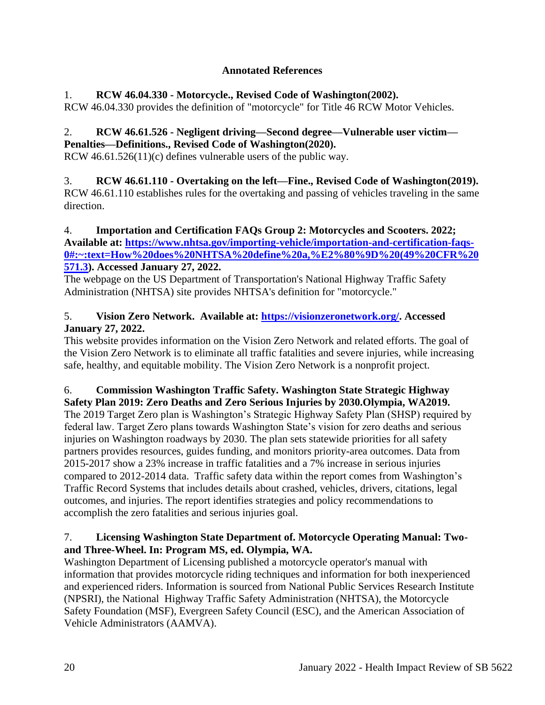# **Annotated References**

# <span id="page-19-0"></span>1. **RCW 46.04.330 - Motorcycle., Revised Code of Washington(2002).**

RCW 46.04.330 provides the definition of "motorcycle" for Title 46 RCW Motor Vehicles.

### 2. **RCW 46.61.526 - Negligent driving—Second degree—Vulnerable user victim— Penalties—Definitions., Revised Code of Washington(2020).**

RCW 46.61.526(11)(c) defines vulnerable users of the public way.

### 3. **RCW 46.61.110 - Overtaking on the left—Fine., Revised Code of Washington(2019).** RCW 46.61.110 establishes rules for the overtaking and passing of vehicles traveling in the same direction.

## 4. **Importation and Certification FAQs Group 2: Motorcycles and Scooters. 2022; Available at: [https://www.nhtsa.gov/importing-vehicle/importation-and-certification-faqs-](https://www.nhtsa.gov/importing-vehicle/importation-and-certification-faqs-0#:~:text=How%20does%20NHTSA%20define%20a,%E2%80%9D%20(49%20CFR%20571.3)[0#:~:text=How%20does%20NHTSA%20define%20a,%E2%80%9D%20\(49%20CFR%20](https://www.nhtsa.gov/importing-vehicle/importation-and-certification-faqs-0#:~:text=How%20does%20NHTSA%20define%20a,%E2%80%9D%20(49%20CFR%20571.3) [571.3\)](https://www.nhtsa.gov/importing-vehicle/importation-and-certification-faqs-0#:~:text=How%20does%20NHTSA%20define%20a,%E2%80%9D%20(49%20CFR%20571.3). Accessed January 27, 2022.**

The webpage on the US Department of Transportation's National Highway Traffic Safety Administration (NHTSA) site provides NHTSA's definition for "motorcycle."

# 5. **Vision Zero Network. Available at: [https://visionzeronetwork.org/.](https://visionzeronetwork.org/) Accessed January 27, 2022.**

This website provides information on the Vision Zero Network and related efforts. The goal of the Vision Zero Network is to eliminate all traffic fatalities and severe injuries, while increasing safe, healthy, and equitable mobility. The Vision Zero Network is a nonprofit project.

#### 6. **Commission Washington Traffic Safety. Washington State Strategic Highway Safety Plan 2019: Zero Deaths and Zero Serious Injuries by 2030.Olympia, WA2019.**

The 2019 Target Zero plan is Washington's Strategic Highway Safety Plan (SHSP) required by federal law. Target Zero plans towards Washington State's vision for zero deaths and serious injuries on Washington roadways by 2030. The plan sets statewide priorities for all safety partners provides resources, guides funding, and monitors priority-area outcomes. Data from 2015-2017 show a 23% increase in traffic fatalities and a 7% increase in serious injuries compared to 2012-2014 data. Traffic safety data within the report comes from Washington's Traffic Record Systems that includes details about crashed, vehicles, drivers, citations, legal outcomes, and injuries. The report identifies strategies and policy recommendations to accomplish the zero fatalities and serious injuries goal.

# 7. **Licensing Washington State Department of. Motorcycle Operating Manual: Twoand Three-Wheel. In: Program MS, ed. Olympia, WA.**

Washington Department of Licensing published a motorcycle operator's manual with information that provides motorcycle riding techniques and information for both inexperienced and experienced riders. Information is sourced from National Public Services Research Institute (NPSRI), the National Highway Traffic Safety Administration (NHTSA), the Motorcycle Safety Foundation (MSF), Evergreen Safety Council (ESC), and the American Association of Vehicle Administrators (AAMVA).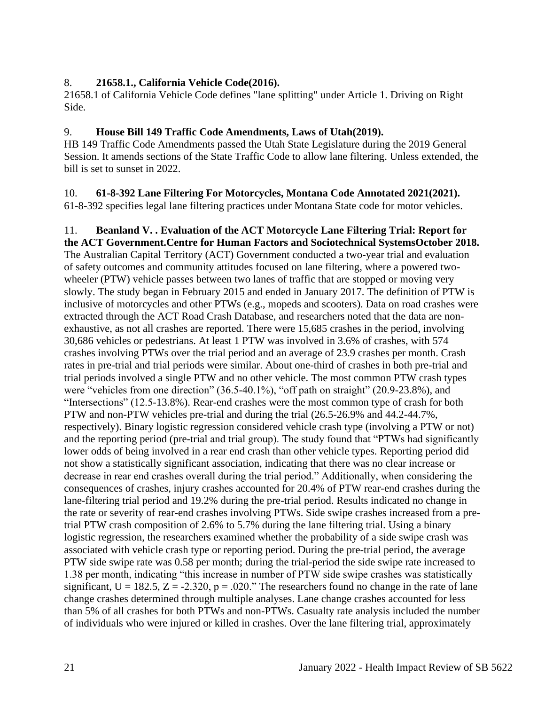## 8. **21658.1., California Vehicle Code(2016).**

21658.1 of California Vehicle Code defines "lane splitting" under Article 1. Driving on Right Side.

## 9. **House Bill 149 Traffic Code Amendments, Laws of Utah(2019).**

HB 149 Traffic Code Amendments passed the Utah State Legislature during the 2019 General Session. It amends sections of the State Traffic Code to allow lane filtering. Unless extended, the bill is set to sunset in 2022.

#### 10. **61-8-392 Lane Filtering For Motorcycles, Montana Code Annotated 2021(2021).** 61-8-392 specifies legal lane filtering practices under Montana State code for motor vehicles.

11. **Beanland V. . Evaluation of the ACT Motorcycle Lane Filtering Trial: Report for the ACT Government.Centre for Human Factors and Sociotechnical SystemsOctober 2018.** The Australian Capital Territory (ACT) Government conducted a two-year trial and evaluation of safety outcomes and community attitudes focused on lane filtering, where a powered twowheeler (PTW) vehicle passes between two lanes of traffic that are stopped or moving very slowly. The study began in February 2015 and ended in January 2017. The definition of PTW is inclusive of motorcycles and other PTWs (e.g., mopeds and scooters). Data on road crashes were extracted through the ACT Road Crash Database, and researchers noted that the data are nonexhaustive, as not all crashes are reported. There were 15,685 crashes in the period, involving 30,686 vehicles or pedestrians. At least 1 PTW was involved in 3.6% of crashes, with 574 crashes involving PTWs over the trial period and an average of 23.9 crashes per month. Crash rates in pre-trial and trial periods were similar. About one-third of crashes in both pre-trial and trial periods involved a single PTW and no other vehicle. The most common PTW crash types were "vehicles from one direction" (36.5-40.1%), "off path on straight" (20.9-23.8%), and "Intersections" (12.5-13.8%). Rear-end crashes were the most common type of crash for both PTW and non-PTW vehicles pre-trial and during the trial (26.5-26.9% and 44.2-44.7%, respectively). Binary logistic regression considered vehicle crash type (involving a PTW or not) and the reporting period (pre-trial and trial group). The study found that "PTWs had significantly lower odds of being involved in a rear end crash than other vehicle types. Reporting period did not show a statistically significant association, indicating that there was no clear increase or decrease in rear end crashes overall during the trial period." Additionally, when considering the consequences of crashes, injury crashes accounted for 20.4% of PTW rear-end crashes during the lane-filtering trial period and 19.2% during the pre-trial period. Results indicated no change in the rate or severity of rear-end crashes involving PTWs. Side swipe crashes increased from a pretrial PTW crash composition of 2.6% to 5.7% during the lane filtering trial. Using a binary logistic regression, the researchers examined whether the probability of a side swipe crash was associated with vehicle crash type or reporting period. During the pre-trial period, the average PTW side swipe rate was 0.58 per month; during the trial-period the side swipe rate increased to 1.38 per month, indicating "this increase in number of PTW side swipe crashes was statistically significant,  $U = 182.5$ ,  $Z = -2.320$ ,  $p = .020$ ." The researchers found no change in the rate of lane change crashes determined through multiple analyses. Lane change crashes accounted for less than 5% of all crashes for both PTWs and non-PTWs. Casualty rate analysis included the number of individuals who were injured or killed in crashes. Over the lane filtering trial, approximately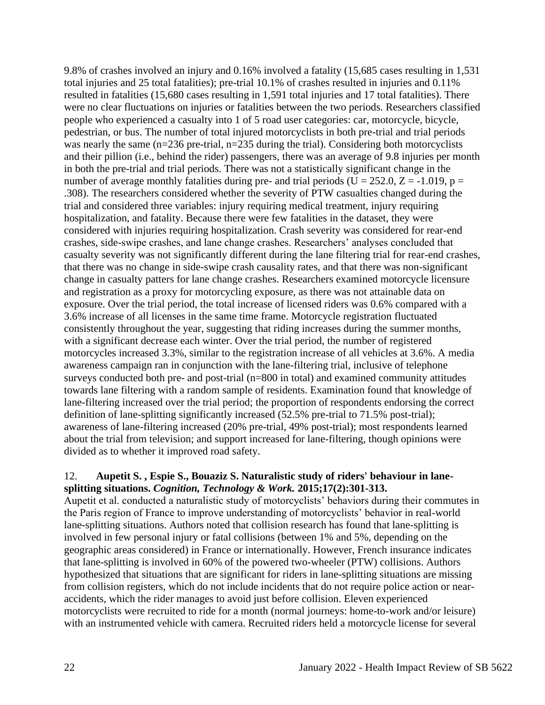9.8% of crashes involved an injury and 0.16% involved a fatality (15,685 cases resulting in 1,531 total injuries and 25 total fatalities); pre-trial 10.1% of crashes resulted in injuries and 0.11% resulted in fatalities (15,680 cases resulting in 1,591 total injuries and 17 total fatalities). There were no clear fluctuations on injuries or fatalities between the two periods. Researchers classified people who experienced a casualty into 1 of 5 road user categories: car, motorcycle, bicycle, pedestrian, or bus. The number of total injured motorcyclists in both pre-trial and trial periods was nearly the same (n=236 pre-trial, n=235 during the trial). Considering both motorcyclists and their pillion (i.e., behind the rider) passengers, there was an average of 9.8 injuries per month in both the pre-trial and trial periods. There was not a statistically significant change in the number of average monthly fatalities during pre- and trial periods (U = 252.0, Z = -1.019, p = .308). The researchers considered whether the severity of PTW casualties changed during the trial and considered three variables: injury requiring medical treatment, injury requiring hospitalization, and fatality. Because there were few fatalities in the dataset, they were considered with injuries requiring hospitalization. Crash severity was considered for rear-end crashes, side-swipe crashes, and lane change crashes. Researchers' analyses concluded that casualty severity was not significantly different during the lane filtering trial for rear-end crashes, that there was no change in side-swipe crash causality rates, and that there was non-significant change in casualty patters for lane change crashes. Researchers examined motorcycle licensure and registration as a proxy for motorcycling exposure, as there was not attainable data on exposure. Over the trial period, the total increase of licensed riders was 0.6% compared with a 3.6% increase of all licenses in the same time frame. Motorcycle registration fluctuated consistently throughout the year, suggesting that riding increases during the summer months, with a significant decrease each winter. Over the trial period, the number of registered motorcycles increased 3.3%, similar to the registration increase of all vehicles at 3.6%. A media awareness campaign ran in conjunction with the lane-filtering trial, inclusive of telephone surveys conducted both pre- and post-trial (n=800 in total) and examined community attitudes towards lane filtering with a random sample of residents. Examination found that knowledge of lane-filtering increased over the trial period; the proportion of respondents endorsing the correct definition of lane-splitting significantly increased (52.5% pre-trial to 71.5% post-trial); awareness of lane-filtering increased (20% pre-trial, 49% post-trial); most respondents learned about the trial from television; and support increased for lane-filtering, though opinions were divided as to whether it improved road safety.

### 12. **Aupetit S. , Espie S., Bouaziz S. Naturalistic study of riders' behaviour in lanesplitting situations.** *Cognition, Technology & Work.* **2015;17(2):301-313.**

Aupetit et al. conducted a naturalistic study of motorcyclists' behaviors during their commutes in the Paris region of France to improve understanding of motorcyclists' behavior in real-world lane-splitting situations. Authors noted that collision research has found that lane-splitting is involved in few personal injury or fatal collisions (between 1% and 5%, depending on the geographic areas considered) in France or internationally. However, French insurance indicates that lane-splitting is involved in 60% of the powered two-wheeler (PTW) collisions. Authors hypothesized that situations that are significant for riders in lane-splitting situations are missing from collision registers, which do not include incidents that do not require police action or nearaccidents, which the rider manages to avoid just before collision. Eleven experienced motorcyclists were recruited to ride for a month (normal journeys: home-to-work and/or leisure) with an instrumented vehicle with camera. Recruited riders held a motorcycle license for several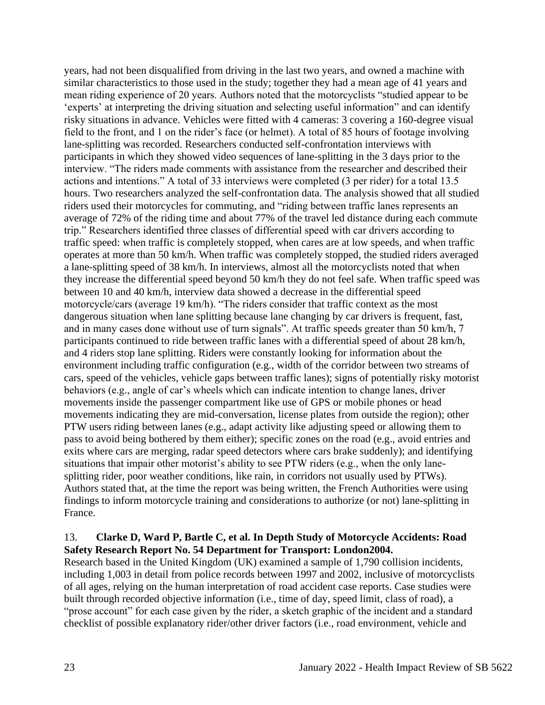years, had not been disqualified from driving in the last two years, and owned a machine with similar characteristics to those used in the study; together they had a mean age of 41 years and mean riding experience of 20 years. Authors noted that the motorcyclists "studied appear to be 'experts' at interpreting the driving situation and selecting useful information" and can identify risky situations in advance. Vehicles were fitted with 4 cameras: 3 covering a 160-degree visual field to the front, and 1 on the rider's face (or helmet). A total of 85 hours of footage involving lane-splitting was recorded. Researchers conducted self-confrontation interviews with participants in which they showed video sequences of lane-splitting in the 3 days prior to the interview. "The riders made comments with assistance from the researcher and described their actions and intentions." A total of 33 interviews were completed (3 per rider) for a total 13.5 hours. Two researchers analyzed the self-confrontation data. The analysis showed that all studied riders used their motorcycles for commuting, and "riding between traffic lanes represents an average of 72% of the riding time and about 77% of the travel led distance during each commute trip." Researchers identified three classes of differential speed with car drivers according to traffic speed: when traffic is completely stopped, when cares are at low speeds, and when traffic operates at more than 50 km/h. When traffic was completely stopped, the studied riders averaged a lane-splitting speed of 38 km/h. In interviews, almost all the motorcyclists noted that when they increase the differential speed beyond 50 km/h they do not feel safe. When traffic speed was between 10 and 40 km/h, interview data showed a decrease in the differential speed motorcycle/cars (average 19 km/h). "The riders consider that traffic context as the most dangerous situation when lane splitting because lane changing by car drivers is frequent, fast, and in many cases done without use of turn signals". At traffic speeds greater than 50 km/h, 7 participants continued to ride between traffic lanes with a differential speed of about 28 km/h, and 4 riders stop lane splitting. Riders were constantly looking for information about the environment including traffic configuration (e.g., width of the corridor between two streams of cars, speed of the vehicles, vehicle gaps between traffic lanes); signs of potentially risky motorist behaviors (e.g., angle of car's wheels which can indicate intention to change lanes, driver movements inside the passenger compartment like use of GPS or mobile phones or head movements indicating they are mid-conversation, license plates from outside the region); other PTW users riding between lanes (e.g., adapt activity like adjusting speed or allowing them to pass to avoid being bothered by them either); specific zones on the road (e.g., avoid entries and exits where cars are merging, radar speed detectors where cars brake suddenly); and identifying situations that impair other motorist's ability to see PTW riders (e.g., when the only lanesplitting rider, poor weather conditions, like rain, in corridors not usually used by PTWs). Authors stated that, at the time the report was being written, the French Authorities were using findings to inform motorcycle training and considerations to authorize (or not) lane-splitting in France.

## 13. **Clarke D, Ward P, Bartle C, et al. In Depth Study of Motorcycle Accidents: Road Safety Research Report No. 54 Department for Transport: London2004.**

Research based in the United Kingdom (UK) examined a sample of 1,790 collision incidents, including 1,003 in detail from police records between 1997 and 2002, inclusive of motorcyclists of all ages, relying on the human interpretation of road accident case reports. Case studies were built through recorded objective information (i.e., time of day, speed limit, class of road), a "prose account" for each case given by the rider, a sketch graphic of the incident and a standard checklist of possible explanatory rider/other driver factors (i.e., road environment, vehicle and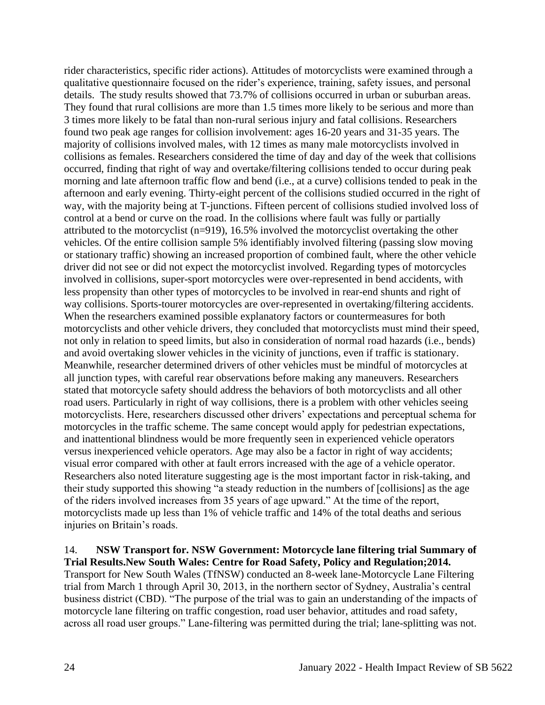rider characteristics, specific rider actions). Attitudes of motorcyclists were examined through a qualitative questionnaire focused on the rider's experience, training, safety issues, and personal details. The study results showed that 73.7% of collisions occurred in urban or suburban areas. They found that rural collisions are more than 1.5 times more likely to be serious and more than 3 times more likely to be fatal than non-rural serious injury and fatal collisions. Researchers found two peak age ranges for collision involvement: ages 16-20 years and 31-35 years. The majority of collisions involved males, with 12 times as many male motorcyclists involved in collisions as females. Researchers considered the time of day and day of the week that collisions occurred, finding that right of way and overtake/filtering collisions tended to occur during peak morning and late afternoon traffic flow and bend (i.e., at a curve) collisions tended to peak in the afternoon and early evening. Thirty-eight percent of the collisions studied occurred in the right of way, with the majority being at T-junctions. Fifteen percent of collisions studied involved loss of control at a bend or curve on the road. In the collisions where fault was fully or partially attributed to the motorcyclist (n=919), 16.5% involved the motorcyclist overtaking the other vehicles. Of the entire collision sample 5% identifiably involved filtering (passing slow moving or stationary traffic) showing an increased proportion of combined fault, where the other vehicle driver did not see or did not expect the motorcyclist involved. Regarding types of motorcycles involved in collisions, super-sport motorcycles were over-represented in bend accidents, with less propensity than other types of motorcycles to be involved in rear-end shunts and right of way collisions. Sports-tourer motorcycles are over-represented in overtaking/filtering accidents. When the researchers examined possible explanatory factors or countermeasures for both motorcyclists and other vehicle drivers, they concluded that motorcyclists must mind their speed, not only in relation to speed limits, but also in consideration of normal road hazards (i.e., bends) and avoid overtaking slower vehicles in the vicinity of junctions, even if traffic is stationary. Meanwhile, researcher determined drivers of other vehicles must be mindful of motorcycles at all junction types, with careful rear observations before making any maneuvers. Researchers stated that motorcycle safety should address the behaviors of both motorcyclists and all other road users. Particularly in right of way collisions, there is a problem with other vehicles seeing motorcyclists. Here, researchers discussed other drivers' expectations and perceptual schema for motorcycles in the traffic scheme. The same concept would apply for pedestrian expectations, and inattentional blindness would be more frequently seen in experienced vehicle operators versus inexperienced vehicle operators. Age may also be a factor in right of way accidents; visual error compared with other at fault errors increased with the age of a vehicle operator. Researchers also noted literature suggesting age is the most important factor in risk-taking, and their study supported this showing "a steady reduction in the numbers of [collisions] as the age of the riders involved increases from 35 years of age upward." At the time of the report, motorcyclists made up less than 1% of vehicle traffic and 14% of the total deaths and serious injuries on Britain's roads.

### 14. **NSW Transport for. NSW Government: Motorcycle lane filtering trial Summary of Trial Results.New South Wales: Centre for Road Safety, Policy and Regulation;2014.**

Transport for New South Wales (TfNSW) conducted an 8-week lane-Motorcycle Lane Filtering trial from March 1 through April 30, 2013, in the northern sector of Sydney, Australia's central business district (CBD). "The purpose of the trial was to gain an understanding of the impacts of motorcycle lane filtering on traffic congestion, road user behavior, attitudes and road safety, across all road user groups." Lane-filtering was permitted during the trial; lane-splitting was not.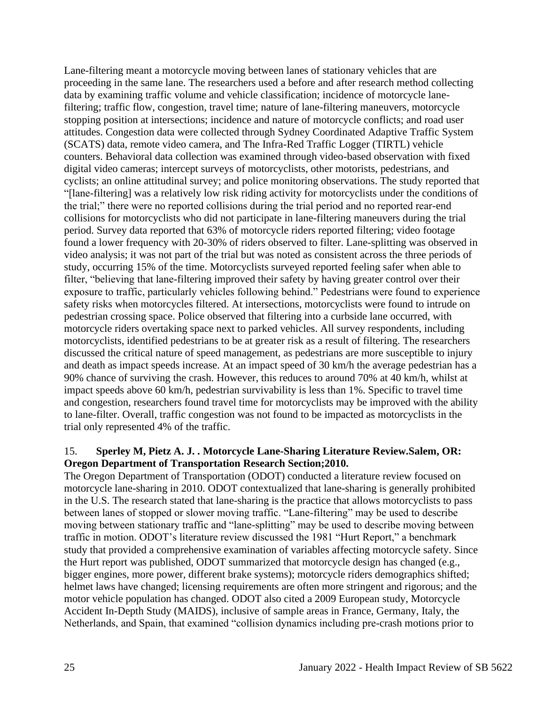Lane-filtering meant a motorcycle moving between lanes of stationary vehicles that are proceeding in the same lane. The researchers used a before and after research method collecting data by examining traffic volume and vehicle classification; incidence of motorcycle lanefiltering; traffic flow, congestion, travel time; nature of lane-filtering maneuvers, motorcycle stopping position at intersections; incidence and nature of motorcycle conflicts; and road user attitudes. Congestion data were collected through Sydney Coordinated Adaptive Traffic System (SCATS) data, remote video camera, and The Infra-Red Traffic Logger (TIRTL) vehicle counters. Behavioral data collection was examined through video-based observation with fixed digital video cameras; intercept surveys of motorcyclists, other motorists, pedestrians, and cyclists; an online attitudinal survey; and police monitoring observations. The study reported that "[lane-filtering] was a relatively low risk riding activity for motorcyclists under the conditions of the trial;" there were no reported collisions during the trial period and no reported rear-end collisions for motorcyclists who did not participate in lane-filtering maneuvers during the trial period. Survey data reported that 63% of motorcycle riders reported filtering; video footage found a lower frequency with 20-30% of riders observed to filter. Lane-splitting was observed in video analysis; it was not part of the trial but was noted as consistent across the three periods of study, occurring 15% of the time. Motorcyclists surveyed reported feeling safer when able to filter, "believing that lane-filtering improved their safety by having greater control over their exposure to traffic, particularly vehicles following behind." Pedestrians were found to experience safety risks when motorcycles filtered. At intersections, motorcyclists were found to intrude on pedestrian crossing space. Police observed that filtering into a curbside lane occurred, with motorcycle riders overtaking space next to parked vehicles. All survey respondents, including motorcyclists, identified pedestrians to be at greater risk as a result of filtering. The researchers discussed the critical nature of speed management, as pedestrians are more susceptible to injury and death as impact speeds increase. At an impact speed of 30 km/h the average pedestrian has a 90% chance of surviving the crash. However, this reduces to around 70% at 40 km/h, whilst at impact speeds above 60 km/h, pedestrian survivability is less than 1%. Specific to travel time and congestion, researchers found travel time for motorcyclists may be improved with the ability to lane-filter. Overall, traffic congestion was not found to be impacted as motorcyclists in the trial only represented 4% of the traffic.

## 15. **Sperley M, Pietz A. J. . Motorcycle Lane-Sharing Literature Review.Salem, OR: Oregon Department of Transportation Research Section;2010.**

The Oregon Department of Transportation (ODOT) conducted a literature review focused on motorcycle lane-sharing in 2010. ODOT contextualized that lane-sharing is generally prohibited in the U.S. The research stated that lane-sharing is the practice that allows motorcyclists to pass between lanes of stopped or slower moving traffic. "Lane-filtering" may be used to describe moving between stationary traffic and "lane-splitting" may be used to describe moving between traffic in motion. ODOT's literature review discussed the 1981 "Hurt Report," a benchmark study that provided a comprehensive examination of variables affecting motorcycle safety. Since the Hurt report was published, ODOT summarized that motorcycle design has changed (e.g., bigger engines, more power, different brake systems); motorcycle riders demographics shifted; helmet laws have changed; licensing requirements are often more stringent and rigorous; and the motor vehicle population has changed. ODOT also cited a 2009 European study, Motorcycle Accident In-Depth Study (MAIDS), inclusive of sample areas in France, Germany, Italy, the Netherlands, and Spain, that examined "collision dynamics including pre-crash motions prior to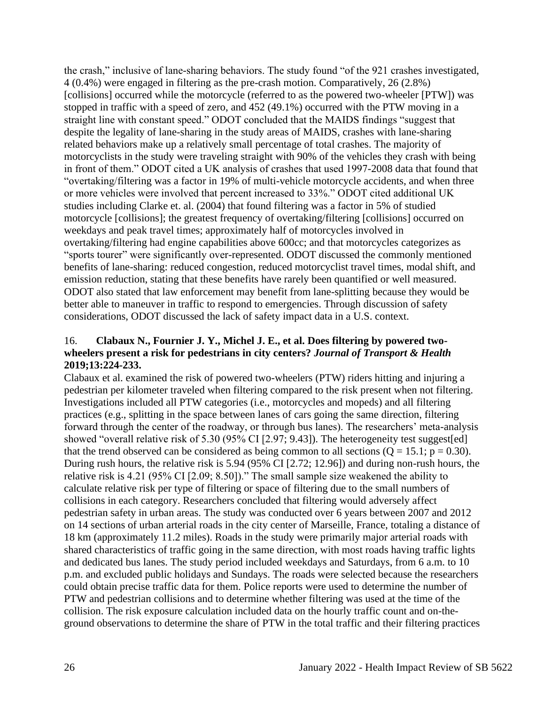the crash," inclusive of lane-sharing behaviors. The study found "of the 921 crashes investigated, 4 (0.4%) were engaged in filtering as the pre-crash motion. Comparatively, 26 (2.8%) [collisions] occurred while the motorcycle (referred to as the powered two-wheeler [PTW]) was stopped in traffic with a speed of zero, and 452 (49.1%) occurred with the PTW moving in a straight line with constant speed." ODOT concluded that the MAIDS findings "suggest that despite the legality of lane-sharing in the study areas of MAIDS, crashes with lane-sharing related behaviors make up a relatively small percentage of total crashes. The majority of motorcyclists in the study were traveling straight with 90% of the vehicles they crash with being in front of them." ODOT cited a UK analysis of crashes that used 1997-2008 data that found that "overtaking/filtering was a factor in 19% of multi-vehicle motorcycle accidents, and when three or more vehicles were involved that percent increased to 33%." ODOT cited additional UK studies including Clarke et. al. (2004) that found filtering was a factor in 5% of studied motorcycle [collisions]; the greatest frequency of overtaking/filtering [collisions] occurred on weekdays and peak travel times; approximately half of motorcycles involved in overtaking/filtering had engine capabilities above 600cc; and that motorcycles categorizes as "sports tourer" were significantly over-represented. ODOT discussed the commonly mentioned benefits of lane-sharing: reduced congestion, reduced motorcyclist travel times, modal shift, and emission reduction, stating that these benefits have rarely been quantified or well measured. ODOT also stated that law enforcement may benefit from lane-splitting because they would be better able to maneuver in traffic to respond to emergencies. Through discussion of safety considerations, ODOT discussed the lack of safety impact data in a U.S. context.

### 16. **Clabaux N., Fournier J. Y., Michel J. E., et al. Does filtering by powered twowheelers present a risk for pedestrians in city centers?** *Journal of Transport & Health*  **2019;13:224-233.**

Clabaux et al. examined the risk of powered two-wheelers (PTW) riders hitting and injuring a pedestrian per kilometer traveled when filtering compared to the risk present when not filtering. Investigations included all PTW categories (i.e., motorcycles and mopeds) and all filtering practices (e.g., splitting in the space between lanes of cars going the same direction, filtering forward through the center of the roadway, or through bus lanes). The researchers' meta-analysis showed "overall relative risk of 5.30 (95% CI [2.97; 9.43]). The heterogeneity test suggest[ed] that the trend observed can be considered as being common to all sections  $(Q = 15.1; p = 0.30)$ . During rush hours, the relative risk is 5.94 (95% CI [2.72; 12.96]) and during non-rush hours, the relative risk is 4.21 (95% CI [2.09; 8.50])." The small sample size weakened the ability to calculate relative risk per type of filtering or space of filtering due to the small numbers of collisions in each category. Researchers concluded that filtering would adversely affect pedestrian safety in urban areas. The study was conducted over 6 years between 2007 and 2012 on 14 sections of urban arterial roads in the city center of Marseille, France, totaling a distance of 18 km (approximately 11.2 miles). Roads in the study were primarily major arterial roads with shared characteristics of traffic going in the same direction, with most roads having traffic lights and dedicated bus lanes. The study period included weekdays and Saturdays, from 6 a.m. to 10 p.m. and excluded public holidays and Sundays. The roads were selected because the researchers could obtain precise traffic data for them. Police reports were used to determine the number of PTW and pedestrian collisions and to determine whether filtering was used at the time of the collision. The risk exposure calculation included data on the hourly traffic count and on-theground observations to determine the share of PTW in the total traffic and their filtering practices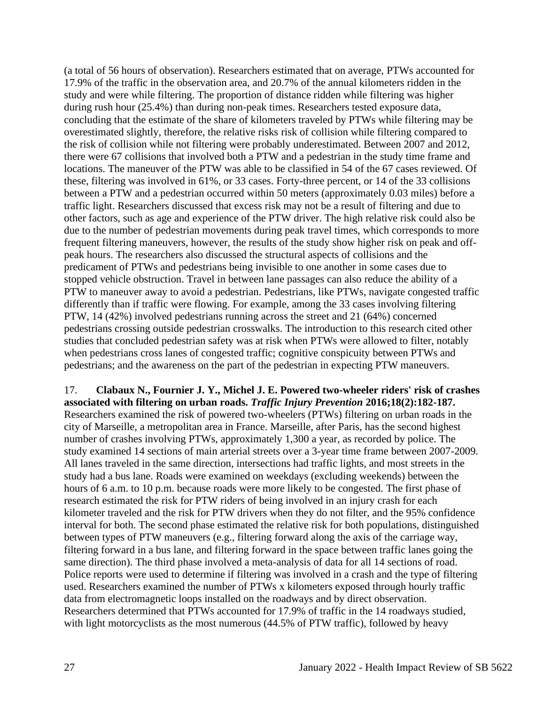(a total of 56 hours of observation). Researchers estimated that on average, PTWs accounted for 17.9% of the traffic in the observation area, and 20.7% of the annual kilometers ridden in the study and were while filtering. The proportion of distance ridden while filtering was higher during rush hour (25.4%) than during non-peak times. Researchers tested exposure data, concluding that the estimate of the share of kilometers traveled by PTWs while filtering may be overestimated slightly, therefore, the relative risks risk of collision while filtering compared to the risk of collision while not filtering were probably underestimated. Between 2007 and 2012, there were 67 collisions that involved both a PTW and a pedestrian in the study time frame and locations. The maneuver of the PTW was able to be classified in 54 of the 67 cases reviewed. Of these, filtering was involved in 61%, or 33 cases. Forty-three percent, or 14 of the 33 collisions between a PTW and a pedestrian occurred within 50 meters (approximately 0.03 miles) before a traffic light. Researchers discussed that excess risk may not be a result of filtering and due to other factors, such as age and experience of the PTW driver. The high relative risk could also be due to the number of pedestrian movements during peak travel times, which corresponds to more frequent filtering maneuvers, however, the results of the study show higher risk on peak and offpeak hours. The researchers also discussed the structural aspects of collisions and the predicament of PTWs and pedestrians being invisible to one another in some cases due to stopped vehicle obstruction. Travel in between lane passages can also reduce the ability of a PTW to maneuver away to avoid a pedestrian. Pedestrians, like PTWs, navigate congested traffic differently than if traffic were flowing. For example, among the 33 cases involving filtering PTW, 14 (42%) involved pedestrians running across the street and 21 (64%) concerned pedestrians crossing outside pedestrian crosswalks. The introduction to this research cited other studies that concluded pedestrian safety was at risk when PTWs were allowed to filter, notably when pedestrians cross lanes of congested traffic; cognitive conspicuity between PTWs and pedestrians; and the awareness on the part of the pedestrian in expecting PTW maneuvers.

17. **Clabaux N., Fournier J. Y., Michel J. E. Powered two-wheeler riders' risk of crashes associated with filtering on urban roads.** *Traffic Injury Prevention* **2016;18(2):182-187.** Researchers examined the risk of powered two-wheelers (PTWs) filtering on urban roads in the city of Marseille, a metropolitan area in France. Marseille, after Paris, has the second highest number of crashes involving PTWs, approximately 1,300 a year, as recorded by police. The study examined 14 sections of main arterial streets over a 3-year time frame between 2007-2009. All lanes traveled in the same direction, intersections had traffic lights, and most streets in the study had a bus lane. Roads were examined on weekdays (excluding weekends) between the hours of 6 a.m. to 10 p.m. because roads were more likely to be congested. The first phase of research estimated the risk for PTW riders of being involved in an injury crash for each kilometer traveled and the risk for PTW drivers when they do not filter, and the 95% confidence interval for both. The second phase estimated the relative risk for both populations, distinguished between types of PTW maneuvers (e.g., filtering forward along the axis of the carriage way, filtering forward in a bus lane, and filtering forward in the space between traffic lanes going the same direction). The third phase involved a meta-analysis of data for all 14 sections of road. Police reports were used to determine if filtering was involved in a crash and the type of filtering used. Researchers examined the number of PTWs x kilometers exposed through hourly traffic data from electromagnetic loops installed on the roadways and by direct observation. Researchers determined that PTWs accounted for 17.9% of traffic in the 14 roadways studied, with light motorcyclists as the most numerous (44.5% of PTW traffic), followed by heavy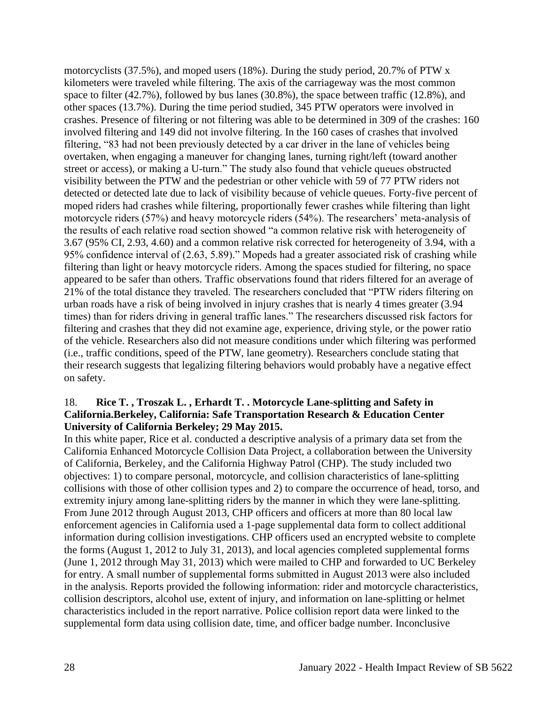motorcyclists (37.5%), and moped users (18%). During the study period, 20.7% of PTW x kilometers were traveled while filtering. The axis of the carriageway was the most common space to filter (42.7%), followed by bus lanes (30.8%), the space between traffic (12.8%), and other spaces (13.7%). During the time period studied, 345 PTW operators were involved in crashes. Presence of filtering or not filtering was able to be determined in 309 of the crashes: 160 involved filtering and 149 did not involve filtering. In the 160 cases of crashes that involved filtering, "83 had not been previously detected by a car driver in the lane of vehicles being overtaken, when engaging a maneuver for changing lanes, turning right/left (toward another street or access), or making a U-turn." The study also found that vehicle queues obstructed visibility between the PTW and the pedestrian or other vehicle with 59 of 77 PTW riders not detected or detected late due to lack of visibility because of vehicle queues. Forty-five percent of moped riders had crashes while filtering, proportionally fewer crashes while filtering than light motorcycle riders (57%) and heavy motorcycle riders (54%). The researchers' meta-analysis of the results of each relative road section showed "a common relative risk with heterogeneity of 3.67 (95% CI, 2.93, 4.60) and a common relative risk corrected for heterogeneity of 3.94, with a 95% confidence interval of (2.63, 5.89)." Mopeds had a greater associated risk of crashing while filtering than light or heavy motorcycle riders. Among the spaces studied for filtering, no space appeared to be safer than others. Traffic observations found that riders filtered for an average of 21% of the total distance they traveled. The researchers concluded that "PTW riders filtering on urban roads have a risk of being involved in injury crashes that is nearly 4 times greater (3.94 times) than for riders driving in general traffic lanes." The researchers discussed risk factors for filtering and crashes that they did not examine age, experience, driving style, or the power ratio of the vehicle. Researchers also did not measure conditions under which filtering was performed (i.e., traffic conditions, speed of the PTW, lane geometry). Researchers conclude stating that their research suggests that legalizing filtering behaviors would probably have a negative effect on safety.

### 18. **Rice T. , Troszak L. , Erhardt T. . Motorcycle Lane-splitting and Safety in California.Berkeley, California: Safe Transportation Research & Education Center University of California Berkeley; 29 May 2015.**

In this white paper, Rice et al. conducted a descriptive analysis of a primary data set from the California Enhanced Motorcycle Collision Data Project, a collaboration between the University of California, Berkeley, and the California Highway Patrol (CHP). The study included two objectives: 1) to compare personal, motorcycle, and collision characteristics of lane-splitting collisions with those of other collision types and 2) to compare the occurrence of head, torso, and extremity injury among lane-splitting riders by the manner in which they were lane-splitting. From June 2012 through August 2013, CHP officers and officers at more than 80 local law enforcement agencies in California used a 1-page supplemental data form to collect additional information during collision investigations. CHP officers used an encrypted website to complete the forms (August 1, 2012 to July 31, 2013), and local agencies completed supplemental forms (June 1, 2012 through May 31, 2013) which were mailed to CHP and forwarded to UC Berkeley for entry. A small number of supplemental forms submitted in August 2013 were also included in the analysis. Reports provided the following information: rider and motorcycle characteristics, collision descriptors, alcohol use, extent of injury, and information on lane-splitting or helmet characteristics included in the report narrative. Police collision report data were linked to the supplemental form data using collision date, time, and officer badge number. Inconclusive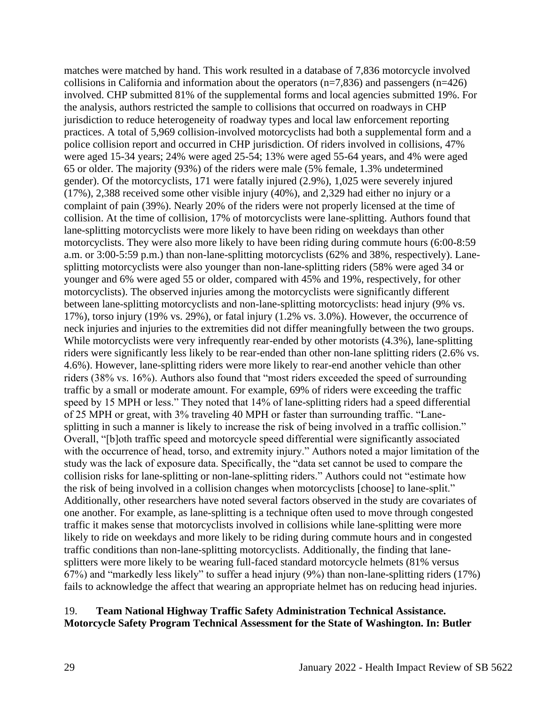matches were matched by hand. This work resulted in a database of 7,836 motorcycle involved collisions in California and information about the operators  $(n=7,836)$  and passengers  $(n=426)$ involved. CHP submitted 81% of the supplemental forms and local agencies submitted 19%. For the analysis, authors restricted the sample to collisions that occurred on roadways in CHP jurisdiction to reduce heterogeneity of roadway types and local law enforcement reporting practices. A total of 5,969 collision-involved motorcyclists had both a supplemental form and a police collision report and occurred in CHP jurisdiction. Of riders involved in collisions, 47% were aged 15-34 years; 24% were aged 25-54; 13% were aged 55-64 years, and 4% were aged 65 or older. The majority (93%) of the riders were male (5% female, 1.3% undetermined gender). Of the motorcyclists, 171 were fatally injured (2.9%), 1,025 were severely injured (17%), 2,388 received some other visible injury (40%), and 2,329 had either no injury or a complaint of pain (39%). Nearly 20% of the riders were not properly licensed at the time of collision. At the time of collision, 17% of motorcyclists were lane-splitting. Authors found that lane-splitting motorcyclists were more likely to have been riding on weekdays than other motorcyclists. They were also more likely to have been riding during commute hours (6:00-8:59 a.m. or 3:00-5:59 p.m.) than non-lane-splitting motorcyclists (62% and 38%, respectively). Lanesplitting motorcyclists were also younger than non-lane-splitting riders (58% were aged 34 or younger and 6% were aged 55 or older, compared with 45% and 19%, respectively, for other motorcyclists). The observed injuries among the motorcyclists were significantly different between lane-splitting motorcyclists and non-lane-splitting motorcyclists: head injury (9% vs. 17%), torso injury (19% vs. 29%), or fatal injury (1.2% vs. 3.0%). However, the occurrence of neck injuries and injuries to the extremities did not differ meaningfully between the two groups. While motorcyclists were very infrequently rear-ended by other motorists (4.3%), lane-splitting riders were significantly less likely to be rear-ended than other non-lane splitting riders (2.6% vs. 4.6%). However, lane-splitting riders were more likely to rear-end another vehicle than other riders (38% vs. 16%). Authors also found that "most riders exceeded the speed of surrounding traffic by a small or moderate amount. For example, 69% of riders were exceeding the traffic speed by 15 MPH or less." They noted that 14% of lane-splitting riders had a speed differential of 25 MPH or great, with 3% traveling 40 MPH or faster than surrounding traffic. "Lanesplitting in such a manner is likely to increase the risk of being involved in a traffic collision." Overall, "[b]oth traffic speed and motorcycle speed differential were significantly associated with the occurrence of head, torso, and extremity injury." Authors noted a major limitation of the study was the lack of exposure data. Specifically, the "data set cannot be used to compare the collision risks for lane-splitting or non-lane-splitting riders." Authors could not "estimate how the risk of being involved in a collision changes when motorcyclists [choose] to lane-split." Additionally, other researchers have noted several factors observed in the study are covariates of one another. For example, as lane-splitting is a technique often used to move through congested traffic it makes sense that motorcyclists involved in collisions while lane-splitting were more likely to ride on weekdays and more likely to be riding during commute hours and in congested traffic conditions than non-lane-splitting motorcyclists. Additionally, the finding that lanesplitters were more likely to be wearing full-faced standard motorcycle helmets (81% versus 67%) and "markedly less likely" to suffer a head injury (9%) than non-lane-splitting riders (17%) fails to acknowledge the affect that wearing an appropriate helmet has on reducing head injuries.

#### 19. **Team National Highway Traffic Safety Administration Technical Assistance. Motorcycle Safety Program Technical Assessment for the State of Washington. In: Butler**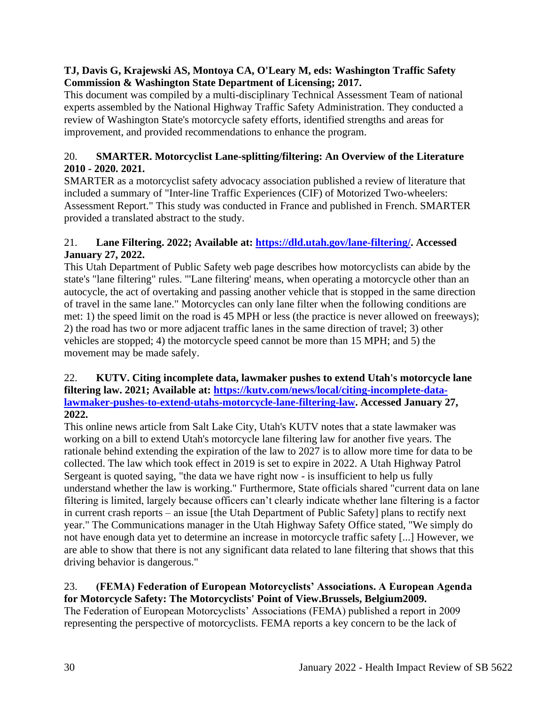## **TJ, Davis G, Krajewski AS, Montoya CA, O'Leary M, eds: Washington Traffic Safety Commission & Washington State Department of Licensing; 2017.**

This document was compiled by a multi-disciplinary Technical Assessment Team of national experts assembled by the National Highway Traffic Safety Administration. They conducted a review of Washington State's motorcycle safety efforts, identified strengths and areas for improvement, and provided recommendations to enhance the program.

# 20. **SMARTER. Motorcyclist Lane-splitting/filtering: An Overview of the Literature 2010 - 2020. 2021.**

SMARTER as a motorcyclist safety advocacy association published a review of literature that included a summary of "Inter-line Traffic Experiences (CIF) of Motorized Two-wheelers: Assessment Report." This study was conducted in France and published in French. SMARTER provided a translated abstract to the study.

## 21. **Lane Filtering. 2022; Available at: [https://dld.utah.gov/lane-filtering/.](https://dld.utah.gov/lane-filtering/) Accessed January 27, 2022.**

This Utah Department of Public Safety web page describes how motorcyclists can abide by the state's "lane filtering" rules. "'Lane filtering' means, when operating a motorcycle other than an autocycle, the act of overtaking and passing another vehicle that is stopped in the same direction of travel in the same lane." Motorcycles can only lane filter when the following conditions are met: 1) the speed limit on the road is 45 MPH or less (the practice is never allowed on freeways); 2) the road has two or more adjacent traffic lanes in the same direction of travel; 3) other vehicles are stopped; 4) the motorcycle speed cannot be more than 15 MPH; and 5) the movement may be made safely.

## 22. **KUTV. Citing incomplete data, lawmaker pushes to extend Utah's motorcycle lane filtering law. 2021; Available at: [https://kutv.com/news/local/citing-incomplete-data](https://kutv.com/news/local/citing-incomplete-data-lawmaker-pushes-to-extend-utahs-motorcycle-lane-filtering-law)[lawmaker-pushes-to-extend-utahs-motorcycle-lane-filtering-law.](https://kutv.com/news/local/citing-incomplete-data-lawmaker-pushes-to-extend-utahs-motorcycle-lane-filtering-law) Accessed January 27, 2022.**

This online news article from Salt Lake City, Utah's KUTV notes that a state lawmaker was working on a bill to extend Utah's motorcycle lane filtering law for another five years. The rationale behind extending the expiration of the law to 2027 is to allow more time for data to be collected. The law which took effect in 2019 is set to expire in 2022. A Utah Highway Patrol Sergeant is quoted saying, "the data we have right now - is insufficient to help us fully understand whether the law is working." Furthermore, State officials shared "current data on lane filtering is limited, largely because officers can't clearly indicate whether lane filtering is a factor in current crash reports – an issue [the Utah Department of Public Safety] plans to rectify next year." The Communications manager in the Utah Highway Safety Office stated, "We simply do not have enough data yet to determine an increase in motorcycle traffic safety [...] However, we are able to show that there is not any significant data related to lane filtering that shows that this driving behavior is dangerous."

#### 23. **(FEMA) Federation of European Motorcyclists' Associations. A European Agenda for Motorcycle Safety: The Motorcyclists' Point of View.Brussels, Belgium2009.**

The Federation of European Motorcyclists' Associations (FEMA) published a report in 2009 representing the perspective of motorcyclists. FEMA reports a key concern to be the lack of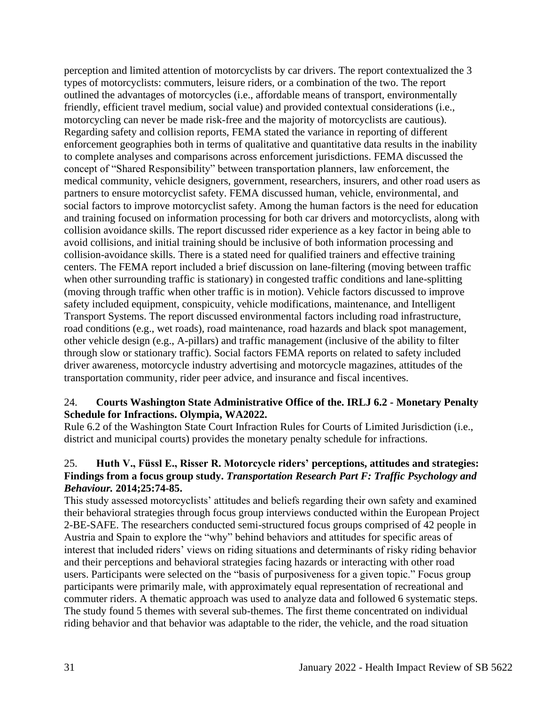perception and limited attention of motorcyclists by car drivers. The report contextualized the 3 types of motorcyclists: commuters, leisure riders, or a combination of the two. The report outlined the advantages of motorcycles (i.e., affordable means of transport, environmentally friendly, efficient travel medium, social value) and provided contextual considerations (i.e., motorcycling can never be made risk-free and the majority of motorcyclists are cautious). Regarding safety and collision reports, FEMA stated the variance in reporting of different enforcement geographies both in terms of qualitative and quantitative data results in the inability to complete analyses and comparisons across enforcement jurisdictions. FEMA discussed the concept of "Shared Responsibility" between transportation planners, law enforcement, the medical community, vehicle designers, government, researchers, insurers, and other road users as partners to ensure motorcyclist safety. FEMA discussed human, vehicle, environmental, and social factors to improve motorcyclist safety. Among the human factors is the need for education and training focused on information processing for both car drivers and motorcyclists, along with collision avoidance skills. The report discussed rider experience as a key factor in being able to avoid collisions, and initial training should be inclusive of both information processing and collision-avoidance skills. There is a stated need for qualified trainers and effective training centers. The FEMA report included a brief discussion on lane-filtering (moving between traffic when other surrounding traffic is stationary) in congested traffic conditions and lane-splitting (moving through traffic when other traffic is in motion). Vehicle factors discussed to improve safety included equipment, conspicuity, vehicle modifications, maintenance, and Intelligent Transport Systems. The report discussed environmental factors including road infrastructure, road conditions (e.g., wet roads), road maintenance, road hazards and black spot management, other vehicle design (e.g., A-pillars) and traffic management (inclusive of the ability to filter through slow or stationary traffic). Social factors FEMA reports on related to safety included driver awareness, motorcycle industry advertising and motorcycle magazines, attitudes of the transportation community, rider peer advice, and insurance and fiscal incentives.

## 24. **Courts Washington State Administrative Office of the. IRLJ 6.2 - Monetary Penalty Schedule for Infractions. Olympia, WA2022.**

Rule 6.2 of the Washington State Court Infraction Rules for Courts of Limited Jurisdiction (i.e., district and municipal courts) provides the monetary penalty schedule for infractions.

## 25. **Huth V., Füssl E., Risser R. Motorcycle riders' perceptions, attitudes and strategies: Findings from a focus group study.** *Transportation Research Part F: Traffic Psychology and Behaviour.* **2014;25:74-85.**

This study assessed motorcyclists' attitudes and beliefs regarding their own safety and examined their behavioral strategies through focus group interviews conducted within the European Project 2-BE-SAFE. The researchers conducted semi-structured focus groups comprised of 42 people in Austria and Spain to explore the "why" behind behaviors and attitudes for specific areas of interest that included riders' views on riding situations and determinants of risky riding behavior and their perceptions and behavioral strategies facing hazards or interacting with other road users. Participants were selected on the "basis of purposiveness for a given topic." Focus group participants were primarily male, with approximately equal representation of recreational and commuter riders. A thematic approach was used to analyze data and followed 6 systematic steps. The study found 5 themes with several sub-themes. The first theme concentrated on individual riding behavior and that behavior was adaptable to the rider, the vehicle, and the road situation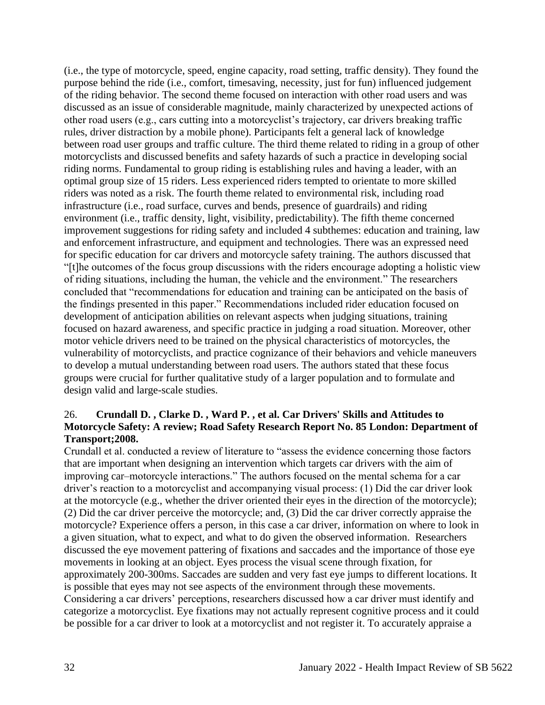(i.e., the type of motorcycle, speed, engine capacity, road setting, traffic density). They found the purpose behind the ride (i.e., comfort, timesaving, necessity, just for fun) influenced judgement of the riding behavior. The second theme focused on interaction with other road users and was discussed as an issue of considerable magnitude, mainly characterized by unexpected actions of other road users (e.g., cars cutting into a motorcyclist's trajectory, car drivers breaking traffic rules, driver distraction by a mobile phone). Participants felt a general lack of knowledge between road user groups and traffic culture. The third theme related to riding in a group of other motorcyclists and discussed benefits and safety hazards of such a practice in developing social riding norms. Fundamental to group riding is establishing rules and having a leader, with an optimal group size of 15 riders. Less experienced riders tempted to orientate to more skilled riders was noted as a risk. The fourth theme related to environmental risk, including road infrastructure (i.e., road surface, curves and bends, presence of guardrails) and riding environment (i.e., traffic density, light, visibility, predictability). The fifth theme concerned improvement suggestions for riding safety and included 4 subthemes: education and training, law and enforcement infrastructure, and equipment and technologies. There was an expressed need for specific education for car drivers and motorcycle safety training. The authors discussed that "[t]he outcomes of the focus group discussions with the riders encourage adopting a holistic view of riding situations, including the human, the vehicle and the environment." The researchers concluded that "recommendations for education and training can be anticipated on the basis of the findings presented in this paper." Recommendations included rider education focused on development of anticipation abilities on relevant aspects when judging situations, training focused on hazard awareness, and specific practice in judging a road situation. Moreover, other motor vehicle drivers need to be trained on the physical characteristics of motorcycles, the vulnerability of motorcyclists, and practice cognizance of their behaviors and vehicle maneuvers to develop a mutual understanding between road users. The authors stated that these focus groups were crucial for further qualitative study of a larger population and to formulate and design valid and large-scale studies.

## 26. **Crundall D. , Clarke D. , Ward P. , et al. Car Drivers' Skills and Attitudes to Motorcycle Safety: A review; Road Safety Research Report No. 85 London: Department of Transport;2008.**

Crundall et al. conducted a review of literature to "assess the evidence concerning those factors that are important when designing an intervention which targets car drivers with the aim of improving car–motorcycle interactions." The authors focused on the mental schema for a car driver's reaction to a motorcyclist and accompanying visual process: (1) Did the car driver look at the motorcycle (e.g., whether the driver oriented their eyes in the direction of the motorcycle); (2) Did the car driver perceive the motorcycle; and, (3) Did the car driver correctly appraise the motorcycle? Experience offers a person, in this case a car driver, information on where to look in a given situation, what to expect, and what to do given the observed information. Researchers discussed the eye movement pattering of fixations and saccades and the importance of those eye movements in looking at an object. Eyes process the visual scene through fixation, for approximately 200-300ms. Saccades are sudden and very fast eye jumps to different locations. It is possible that eyes may not see aspects of the environment through these movements. Considering a car drivers' perceptions, researchers discussed how a car driver must identify and categorize a motorcyclist. Eye fixations may not actually represent cognitive process and it could be possible for a car driver to look at a motorcyclist and not register it. To accurately appraise a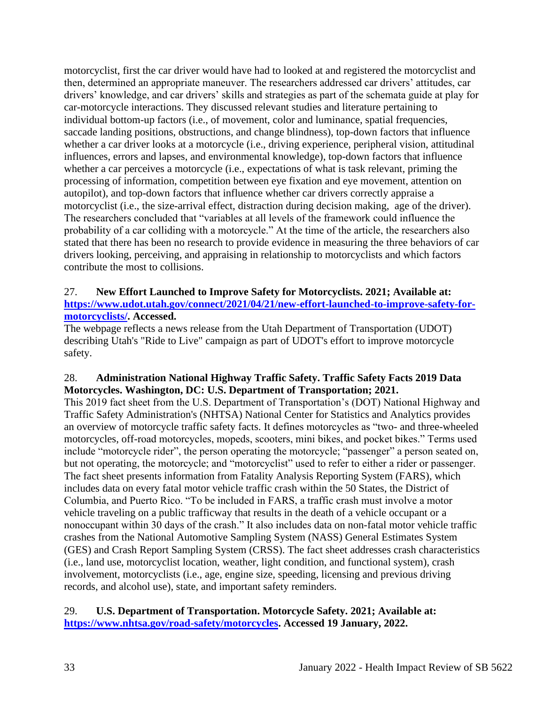motorcyclist, first the car driver would have had to looked at and registered the motorcyclist and then, determined an appropriate maneuver. The researchers addressed car drivers' attitudes, car drivers' knowledge, and car drivers' skills and strategies as part of the schemata guide at play for car-motorcycle interactions. They discussed relevant studies and literature pertaining to individual bottom-up factors (i.e., of movement, color and luminance, spatial frequencies, saccade landing positions, obstructions, and change blindness), top-down factors that influence whether a car driver looks at a motorcycle (i.e., driving experience, peripheral vision, attitudinal influences, errors and lapses, and environmental knowledge), top-down factors that influence whether a car perceives a motorcycle (i.e., expectations of what is task relevant, priming the processing of information, competition between eye fixation and eye movement, attention on autopilot), and top-down factors that influence whether car drivers correctly appraise a motorcyclist (i.e., the size-arrival effect, distraction during decision making, age of the driver). The researchers concluded that "variables at all levels of the framework could influence the probability of a car colliding with a motorcycle." At the time of the article, the researchers also stated that there has been no research to provide evidence in measuring the three behaviors of car drivers looking, perceiving, and appraising in relationship to motorcyclists and which factors contribute the most to collisions.

## 27. **New Effort Launched to Improve Safety for Motorcyclists. 2021; Available at: [https://www.udot.utah.gov/connect/2021/04/21/new-effort-launched-to-improve-safety-for](https://www.udot.utah.gov/connect/2021/04/21/new-effort-launched-to-improve-safety-for-motorcyclists/)[motorcyclists/.](https://www.udot.utah.gov/connect/2021/04/21/new-effort-launched-to-improve-safety-for-motorcyclists/) Accessed.**

The webpage reflects a news release from the Utah Department of Transportation (UDOT) describing Utah's "Ride to Live" campaign as part of UDOT's effort to improve motorcycle safety.

## 28. **Administration National Highway Traffic Safety. Traffic Safety Facts 2019 Data Motorcycles. Washington, DC: U.S. Department of Transportation; 2021.**

This 2019 fact sheet from the U.S. Department of Transportation's (DOT) National Highway and Traffic Safety Administration's (NHTSA) National Center for Statistics and Analytics provides an overview of motorcycle traffic safety facts. It defines motorcycles as "two- and three-wheeled motorcycles, off-road motorcycles, mopeds, scooters, mini bikes, and pocket bikes." Terms used include "motorcycle rider", the person operating the motorcycle; "passenger" a person seated on, but not operating, the motorcycle; and "motorcyclist" used to refer to either a rider or passenger. The fact sheet presents information from Fatality Analysis Reporting System (FARS), which includes data on every fatal motor vehicle traffic crash within the 50 States, the District of Columbia, and Puerto Rico. "To be included in FARS, a traffic crash must involve a motor vehicle traveling on a public trafficway that results in the death of a vehicle occupant or a nonoccupant within 30 days of the crash." It also includes data on non-fatal motor vehicle traffic crashes from the National Automotive Sampling System (NASS) General Estimates System (GES) and Crash Report Sampling System (CRSS). The fact sheet addresses crash characteristics (i.e., land use, motorcyclist location, weather, light condition, and functional system), crash involvement, motorcyclists (i.e., age, engine size, speeding, licensing and previous driving records, and alcohol use), state, and important safety reminders.

### 29. **U.S. Department of Transportation. Motorcycle Safety. 2021; Available at: [https://www.nhtsa.gov/road-safety/motorcycles.](https://www.nhtsa.gov/road-safety/motorcycles) Accessed 19 January, 2022.**